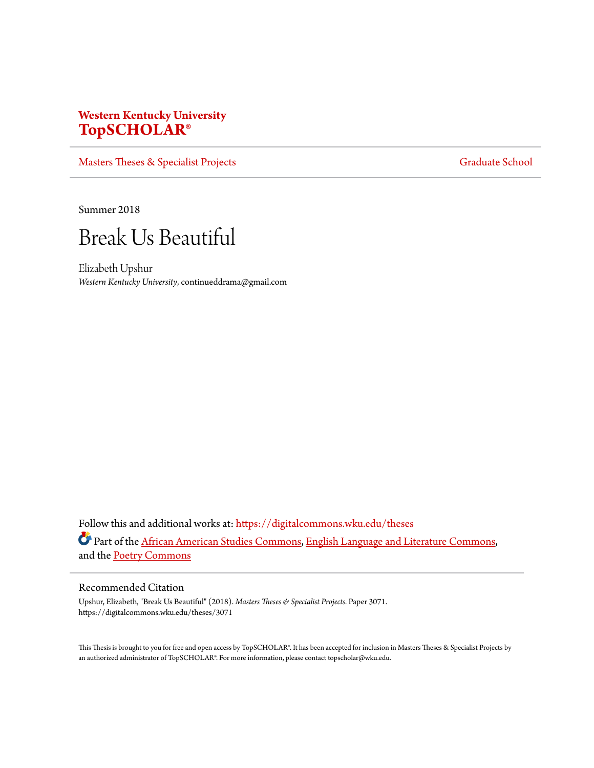# **Western Kentucky University [TopSCHOLAR®](https://digitalcommons.wku.edu?utm_source=digitalcommons.wku.edu%2Ftheses%2F3071&utm_medium=PDF&utm_campaign=PDFCoverPages)**

[Masters Theses & Specialist Projects](https://digitalcommons.wku.edu/theses?utm_source=digitalcommons.wku.edu%2Ftheses%2F3071&utm_medium=PDF&utm_campaign=PDFCoverPages) [Graduate School](https://digitalcommons.wku.edu/Graduate?utm_source=digitalcommons.wku.edu%2Ftheses%2F3071&utm_medium=PDF&utm_campaign=PDFCoverPages) Graduate School

Summer 2018



Elizabeth Upshur *Western Kentucky University*, continueddrama@gmail.com

Follow this and additional works at: [https://digitalcommons.wku.edu/theses](https://digitalcommons.wku.edu/theses?utm_source=digitalcommons.wku.edu%2Ftheses%2F3071&utm_medium=PDF&utm_campaign=PDFCoverPages) Part of the [African American Studies Commons,](http://network.bepress.com/hgg/discipline/567?utm_source=digitalcommons.wku.edu%2Ftheses%2F3071&utm_medium=PDF&utm_campaign=PDFCoverPages) [English Language and Literature Commons,](http://network.bepress.com/hgg/discipline/455?utm_source=digitalcommons.wku.edu%2Ftheses%2F3071&utm_medium=PDF&utm_campaign=PDFCoverPages) and the [Poetry Commons](http://network.bepress.com/hgg/discipline/1153?utm_source=digitalcommons.wku.edu%2Ftheses%2F3071&utm_medium=PDF&utm_campaign=PDFCoverPages)

#### Recommended Citation

Upshur, Elizabeth, "Break Us Beautiful" (2018). *Masters Theses & Specialist Projects.* Paper 3071. https://digitalcommons.wku.edu/theses/3071

This Thesis is brought to you for free and open access by TopSCHOLAR®. It has been accepted for inclusion in Masters Theses & Specialist Projects by an authorized administrator of TopSCHOLAR®. For more information, please contact topscholar@wku.edu.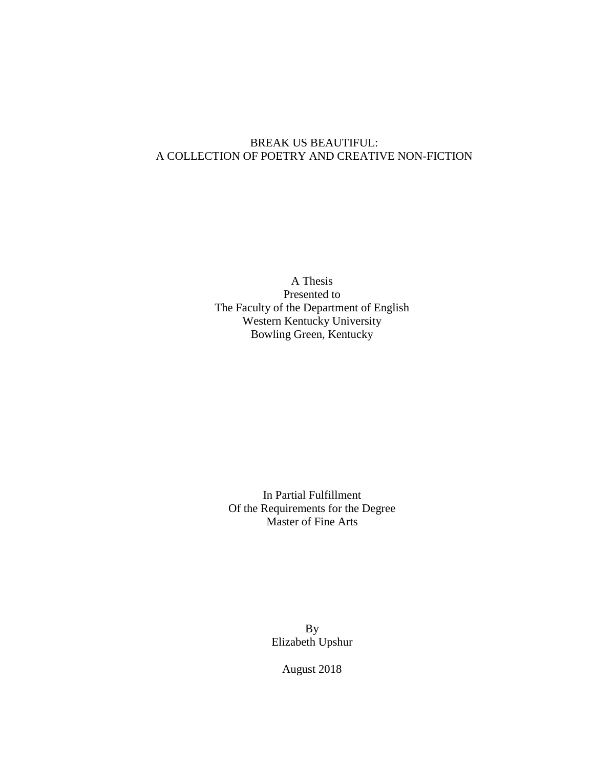### BREAK US BEAUTIFUL: A COLLECTION OF POETRY AND CREATIVE NON-FICTION

A Thesis Presented to The Faculty of the Department of English Western Kentucky University Bowling Green, Kentucky

In Partial Fulfillment Of the Requirements for the Degree Master of Fine Arts

> By Elizabeth Upshur

> > August 2018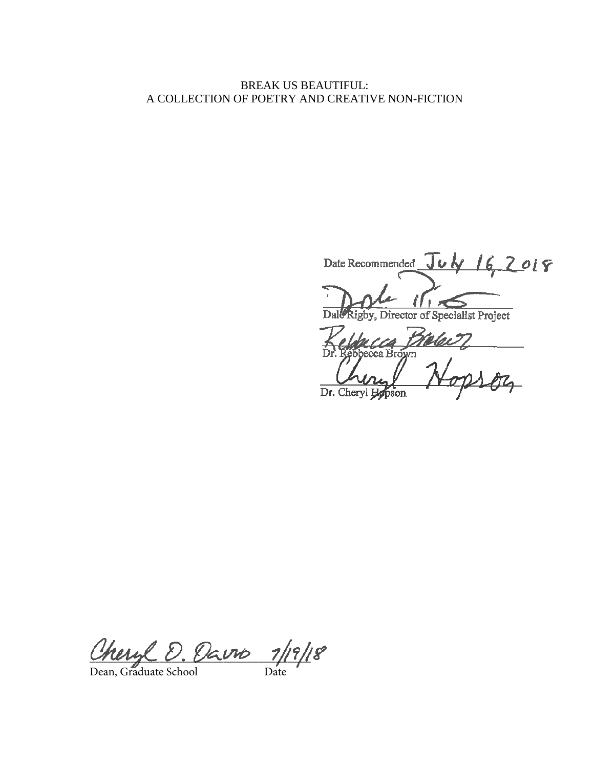### BREAK US BEAUTIFUL: A COLLECTION OF POETRY AND CREATIVE NON-FICTION

Date Recommended July 16, 2019

gby, Director of Specialist Project Dal

 $\overline{\mathscr{L}}$ a Brown 924

Dr. Cheryl **Hopson** 

neige U. Varm 11111

Dean, Graduate School Date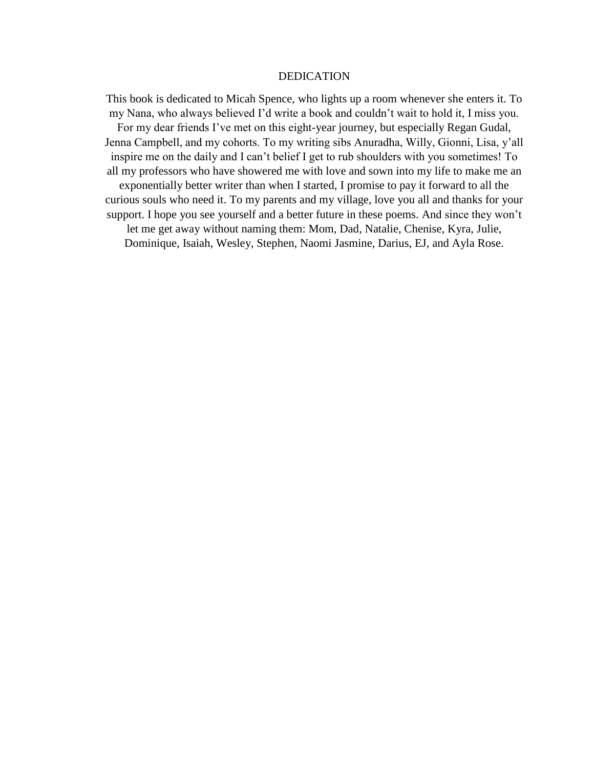#### DEDICATION

This book is dedicated to Micah Spence, who lights up a room whenever she enters it. To my Nana, who always believed I'd write a book and couldn't wait to hold it, I miss you. For my dear friends I've met on this eight-year journey, but especially Regan Gudal, Jenna Campbell, and my cohorts. To my writing sibs Anuradha, Willy, Gionni, Lisa, y'all inspire me on the daily and I can't belief I get to rub shoulders with you sometimes! To all my professors who have showered me with love and sown into my life to make me an exponentially better writer than when I started, I promise to pay it forward to all the curious souls who need it. To my parents and my village, love you all and thanks for your support. I hope you see yourself and a better future in these poems. And since they won't let me get away without naming them: Mom, Dad, Natalie, Chenise, Kyra, Julie, Dominique, Isaiah, Wesley, Stephen, Naomi Jasmine, Darius, EJ, and Ayla Rose.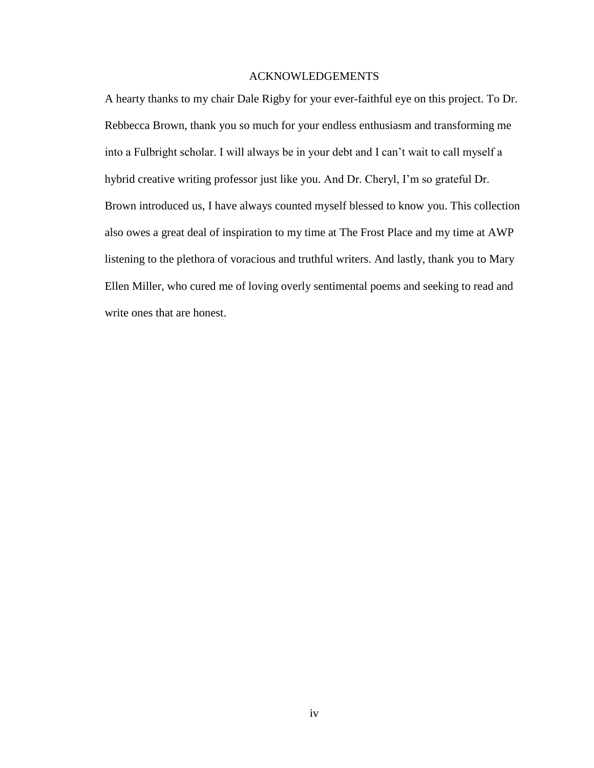### ACKNOWLEDGEMENTS

A hearty thanks to my chair Dale Rigby for your ever-faithful eye on this project. To Dr. Rebbecca Brown, thank you so much for your endless enthusiasm and transforming me into a Fulbright scholar. I will always be in your debt and I can't wait to call myself a hybrid creative writing professor just like you. And Dr. Cheryl, I'm so grateful Dr. Brown introduced us, I have always counted myself blessed to know you. This collection also owes a great deal of inspiration to my time at The Frost Place and my time at AWP listening to the plethora of voracious and truthful writers. And lastly, thank you to Mary Ellen Miller, who cured me of loving overly sentimental poems and seeking to read and write ones that are honest.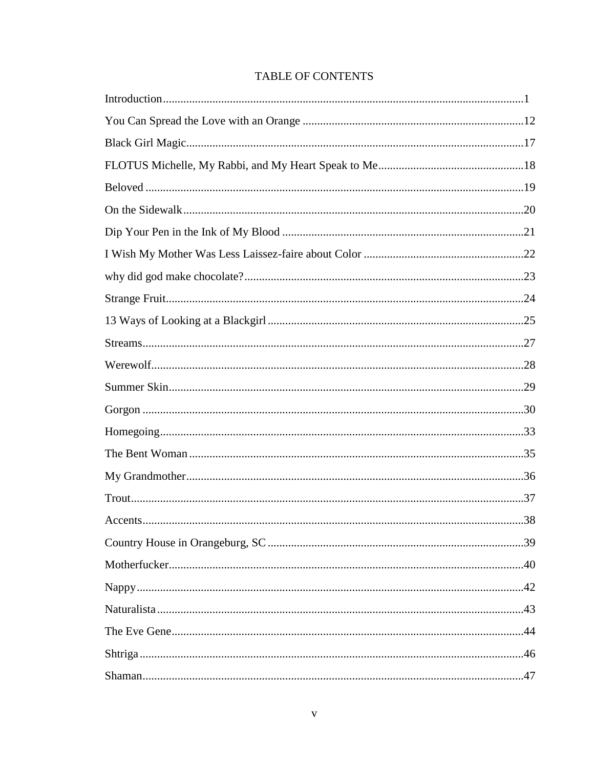## **TABLE OF CONTENTS**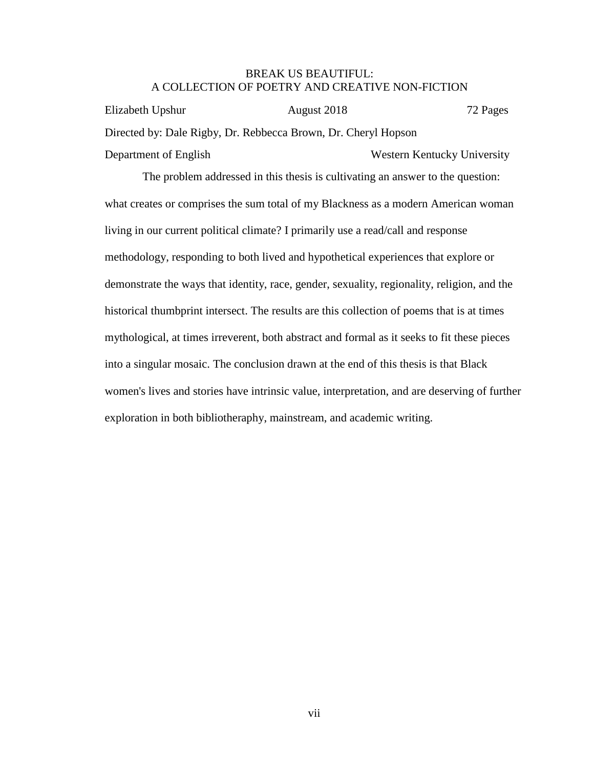### BREAK US BEAUTIFUL: A COLLECTION OF POETRY AND CREATIVE NON-FICTION

Elizabeth Upshur August 2018 72 Pages Directed by: Dale Rigby, Dr. Rebbecca Brown, Dr. Cheryl Hopson Department of English Western Kentucky University

The problem addressed in this thesis is cultivating an answer to the question: what creates or comprises the sum total of my Blackness as a modern American woman living in our current political climate? I primarily use a read/call and response methodology, responding to both lived and hypothetical experiences that explore or demonstrate the ways that identity, race, gender, sexuality, regionality, religion, and the historical thumbprint intersect. The results are this collection of poems that is at times mythological, at times irreverent, both abstract and formal as it seeks to fit these pieces into a singular mosaic. The conclusion drawn at the end of this thesis is that Black women's lives and stories have intrinsic value, interpretation, and are deserving of further exploration in both bibliotheraphy, mainstream, and academic writing.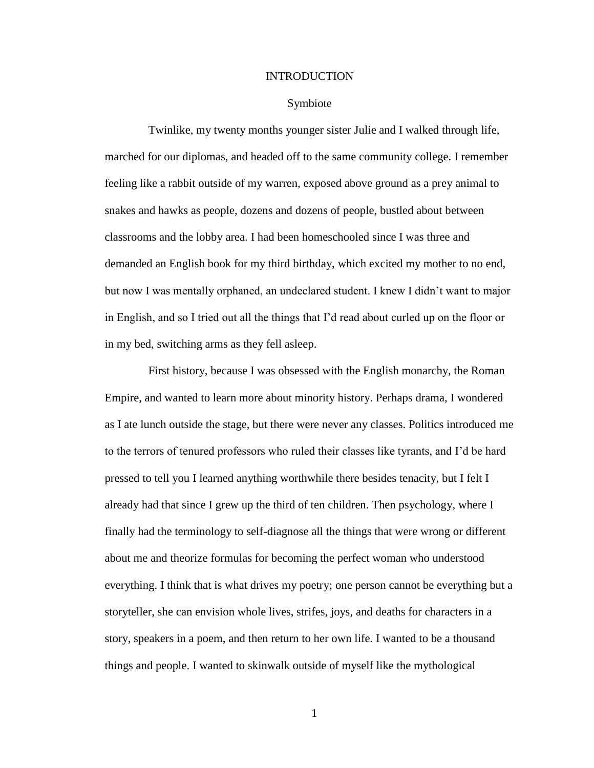#### INTRODUCTION

#### Symbiote

Twinlike, my twenty months younger sister Julie and I walked through life, marched for our diplomas, and headed off to the same community college. I remember feeling like a rabbit outside of my warren, exposed above ground as a prey animal to snakes and hawks as people, dozens and dozens of people, bustled about between classrooms and the lobby area. I had been homeschooled since I was three and demanded an English book for my third birthday, which excited my mother to no end, but now I was mentally orphaned, an undeclared student. I knew I didn't want to major in English, and so I tried out all the things that I'd read about curled up on the floor or in my bed, switching arms as they fell asleep.

First history, because I was obsessed with the English monarchy, the Roman Empire, and wanted to learn more about minority history. Perhaps drama, I wondered as I ate lunch outside the stage, but there were never any classes. Politics introduced me to the terrors of tenured professors who ruled their classes like tyrants, and I'd be hard pressed to tell you I learned anything worthwhile there besides tenacity, but I felt I already had that since I grew up the third of ten children. Then psychology, where I finally had the terminology to self-diagnose all the things that were wrong or different about me and theorize formulas for becoming the perfect woman who understood everything. I think that is what drives my poetry; one person cannot be everything but a storyteller, she can envision whole lives, strifes, joys, and deaths for characters in a story, speakers in a poem, and then return to her own life. I wanted to be a thousand things and people. I wanted to skinwalk outside of myself like the mythological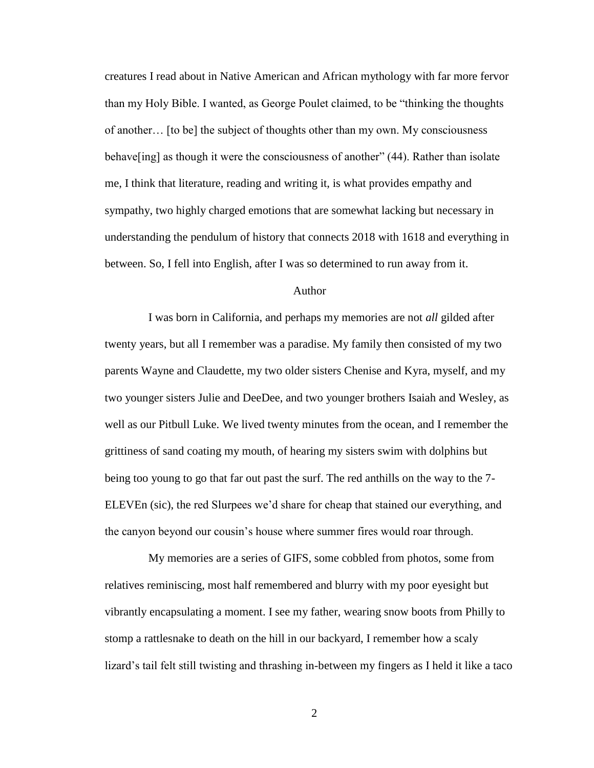creatures I read about in Native American and African mythology with far more fervor than my Holy Bible. I wanted, as George Poulet claimed, to be "thinking the thoughts of another… [to be] the subject of thoughts other than my own. My consciousness behave [ing] as though it were the consciousness of another" (44). Rather than isolate me, I think that literature, reading and writing it, is what provides empathy and sympathy, two highly charged emotions that are somewhat lacking but necessary in understanding the pendulum of history that connects 2018 with 1618 and everything in between. So, I fell into English, after I was so determined to run away from it.

### Author

I was born in California, and perhaps my memories are not *all* gilded after twenty years, but all I remember was a paradise. My family then consisted of my two parents Wayne and Claudette, my two older sisters Chenise and Kyra, myself, and my two younger sisters Julie and DeeDee, and two younger brothers Isaiah and Wesley, as well as our Pitbull Luke. We lived twenty minutes from the ocean, and I remember the grittiness of sand coating my mouth, of hearing my sisters swim with dolphins but being too young to go that far out past the surf. The red anthills on the way to the 7- ELEVEn (sic), the red Slurpees we'd share for cheap that stained our everything, and the canyon beyond our cousin's house where summer fires would roar through.

My memories are a series of GIFS, some cobbled from photos, some from relatives reminiscing, most half remembered and blurry with my poor eyesight but vibrantly encapsulating a moment. I see my father, wearing snow boots from Philly to stomp a rattlesnake to death on the hill in our backyard, I remember how a scaly lizard's tail felt still twisting and thrashing in-between my fingers as I held it like a taco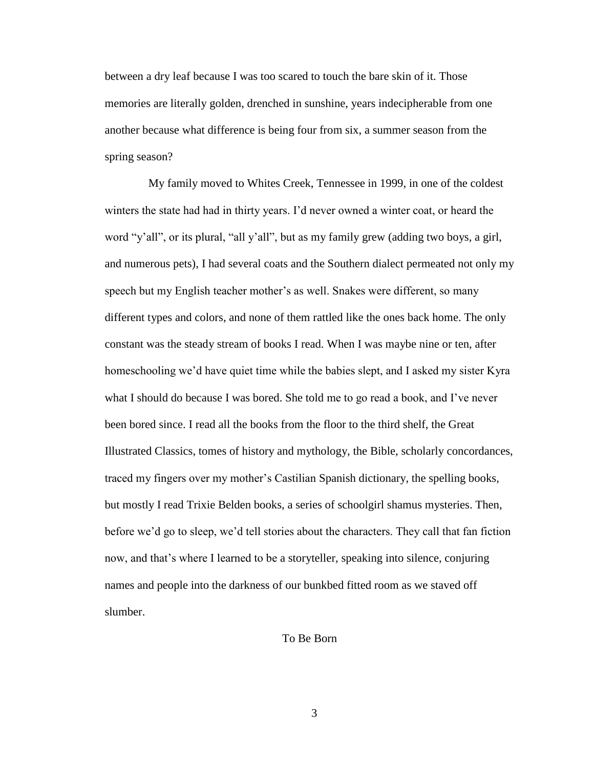between a dry leaf because I was too scared to touch the bare skin of it. Those memories are literally golden, drenched in sunshine, years indecipherable from one another because what difference is being four from six, a summer season from the spring season?

My family moved to Whites Creek, Tennessee in 1999, in one of the coldest winters the state had had in thirty years. I'd never owned a winter coat, or heard the word "y'all", or its plural, "all y'all", but as my family grew (adding two boys, a girl, and numerous pets), I had several coats and the Southern dialect permeated not only my speech but my English teacher mother's as well. Snakes were different, so many different types and colors, and none of them rattled like the ones back home. The only constant was the steady stream of books I read. When I was maybe nine or ten, after homeschooling we'd have quiet time while the babies slept, and I asked my sister Kyra what I should do because I was bored. She told me to go read a book, and I've never been bored since. I read all the books from the floor to the third shelf, the Great Illustrated Classics, tomes of history and mythology, the Bible, scholarly concordances, traced my fingers over my mother's Castilian Spanish dictionary, the spelling books, but mostly I read Trixie Belden books, a series of schoolgirl shamus mysteries. Then, before we'd go to sleep, we'd tell stories about the characters. They call that fan fiction now, and that's where I learned to be a storyteller, speaking into silence, conjuring names and people into the darkness of our bunkbed fitted room as we staved off slumber.

#### To Be Born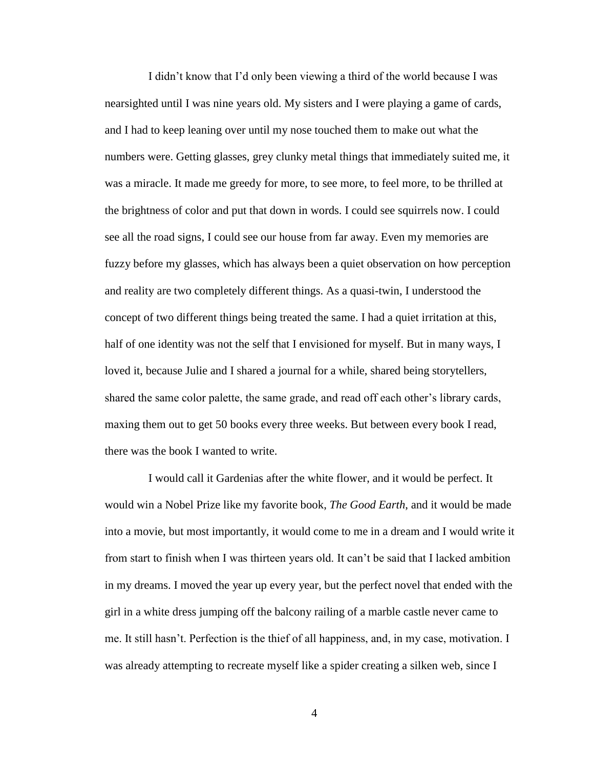I didn't know that I'd only been viewing a third of the world because I was nearsighted until I was nine years old. My sisters and I were playing a game of cards, and I had to keep leaning over until my nose touched them to make out what the numbers were. Getting glasses, grey clunky metal things that immediately suited me, it was a miracle. It made me greedy for more, to see more, to feel more, to be thrilled at the brightness of color and put that down in words. I could see squirrels now. I could see all the road signs, I could see our house from far away. Even my memories are fuzzy before my glasses, which has always been a quiet observation on how perception and reality are two completely different things. As a quasi-twin, I understood the concept of two different things being treated the same. I had a quiet irritation at this, half of one identity was not the self that I envisioned for myself. But in many ways, I loved it, because Julie and I shared a journal for a while, shared being storytellers, shared the same color palette, the same grade, and read off each other's library cards, maxing them out to get 50 books every three weeks. But between every book I read, there was the book I wanted to write.

I would call it Gardenias after the white flower, and it would be perfect. It would win a Nobel Prize like my favorite book, *The Good Earth*, and it would be made into a movie, but most importantly, it would come to me in a dream and I would write it from start to finish when I was thirteen years old. It can't be said that I lacked ambition in my dreams. I moved the year up every year, but the perfect novel that ended with the girl in a white dress jumping off the balcony railing of a marble castle never came to me. It still hasn't. Perfection is the thief of all happiness, and, in my case, motivation. I was already attempting to recreate myself like a spider creating a silken web, since I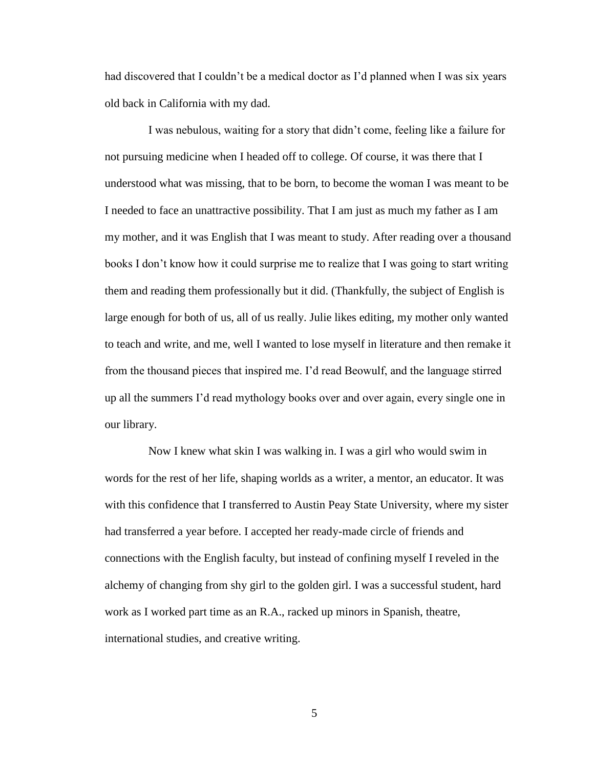had discovered that I couldn't be a medical doctor as I'd planned when I was six years old back in California with my dad.

I was nebulous, waiting for a story that didn't come, feeling like a failure for not pursuing medicine when I headed off to college. Of course, it was there that I understood what was missing, that to be born, to become the woman I was meant to be I needed to face an unattractive possibility. That I am just as much my father as I am my mother, and it was English that I was meant to study. After reading over a thousand books I don't know how it could surprise me to realize that I was going to start writing them and reading them professionally but it did. (Thankfully, the subject of English is large enough for both of us, all of us really. Julie likes editing, my mother only wanted to teach and write, and me, well I wanted to lose myself in literature and then remake it from the thousand pieces that inspired me. I'd read Beowulf, and the language stirred up all the summers I'd read mythology books over and over again, every single one in our library.

Now I knew what skin I was walking in. I was a girl who would swim in words for the rest of her life, shaping worlds as a writer, a mentor, an educator. It was with this confidence that I transferred to Austin Peay State University, where my sister had transferred a year before. I accepted her ready-made circle of friends and connections with the English faculty, but instead of confining myself I reveled in the alchemy of changing from shy girl to the golden girl. I was a successful student, hard work as I worked part time as an R.A., racked up minors in Spanish, theatre, international studies, and creative writing.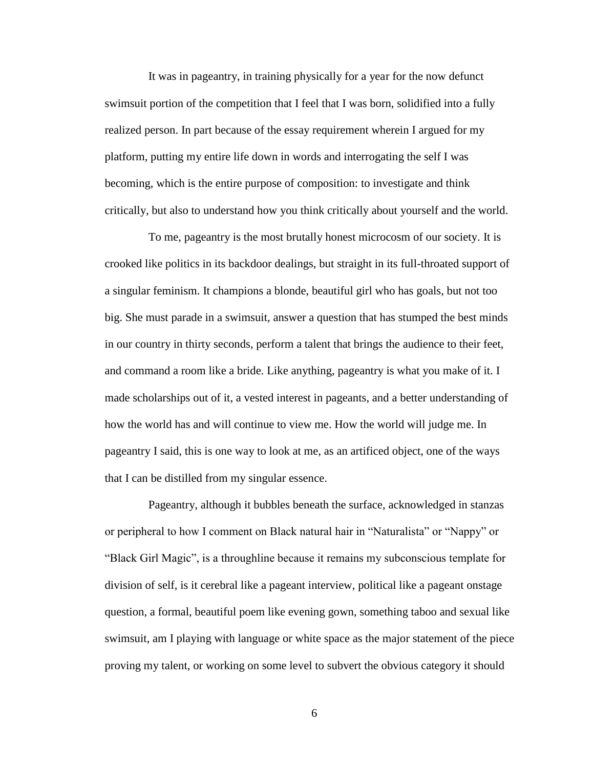It was in pageantry, in training physically for a year for the now defunct swimsuit portion of the competition that I feel that I was born, solidified into a fully realized person. In part because of the essay requirement wherein I argued for my platform, putting my entire life down in words and interrogating the self I was becoming, which is the entire purpose of composition: to investigate and think critically, but also to understand how you think critically about yourself and the world.

To me, pageantry is the most brutally honest microcosm of our society. It is crooked like politics in its backdoor dealings, but straight in its full-throated support of a singular feminism. It champions a blonde, beautiful girl who has goals, but not too big. She must parade in a swimsuit, answer a question that has stumped the best minds in our country in thirty seconds, perform a talent that brings the audience to their feet, and command a room like a bride. Like anything, pageantry is what you make of it. I made scholarships out of it, a vested interest in pageants, and a better understanding of how the world has and will continue to view me. How the world will judge me. In pageantry I said, this is one way to look at me, as an artificed object, one of the ways that I can be distilled from my singular essence.

Pageantry, although it bubbles beneath the surface, acknowledged in stanzas or peripheral to how I comment on Black natural hair in "Naturalista" or "Nappy" or "Black Girl Magic", is a throughline because it remains my subconscious template for division of self, is it cerebral like a pageant interview, political like a pageant onstage question, a formal, beautiful poem like evening gown, something taboo and sexual like swimsuit, am I playing with language or white space as the major statement of the piece proving my talent, or working on some level to subvert the obvious category it should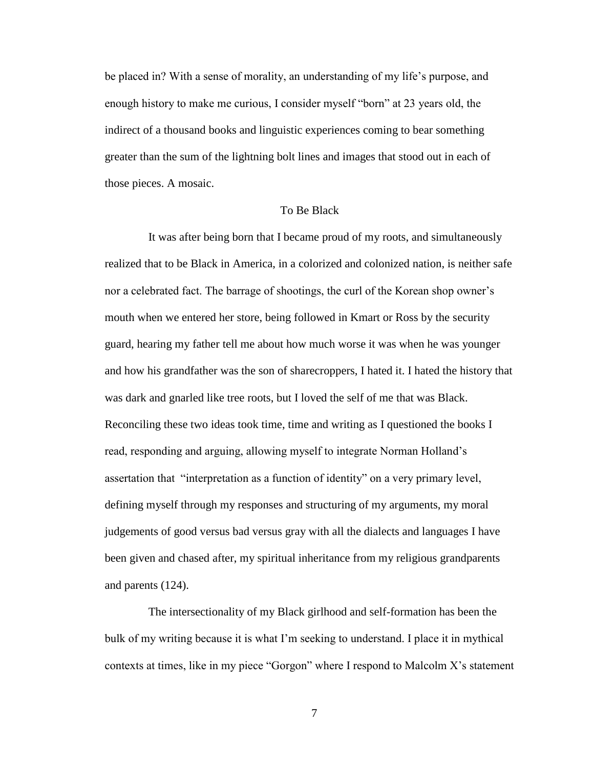be placed in? With a sense of morality, an understanding of my life's purpose, and enough history to make me curious, I consider myself "born" at 23 years old, the indirect of a thousand books and linguistic experiences coming to bear something greater than the sum of the lightning bolt lines and images that stood out in each of those pieces. A mosaic.

#### To Be Black

It was after being born that I became proud of my roots, and simultaneously realized that to be Black in America, in a colorized and colonized nation, is neither safe nor a celebrated fact. The barrage of shootings, the curl of the Korean shop owner's mouth when we entered her store, being followed in Kmart or Ross by the security guard, hearing my father tell me about how much worse it was when he was younger and how his grandfather was the son of sharecroppers, I hated it. I hated the history that was dark and gnarled like tree roots, but I loved the self of me that was Black. Reconciling these two ideas took time, time and writing as I questioned the books I read, responding and arguing, allowing myself to integrate Norman Holland's assertation that "interpretation as a function of identity" on a very primary level, defining myself through my responses and structuring of my arguments, my moral judgements of good versus bad versus gray with all the dialects and languages I have been given and chased after, my spiritual inheritance from my religious grandparents and parents (124).

The intersectionality of my Black girlhood and self-formation has been the bulk of my writing because it is what I'm seeking to understand. I place it in mythical contexts at times, like in my piece "Gorgon" where I respond to Malcolm X's statement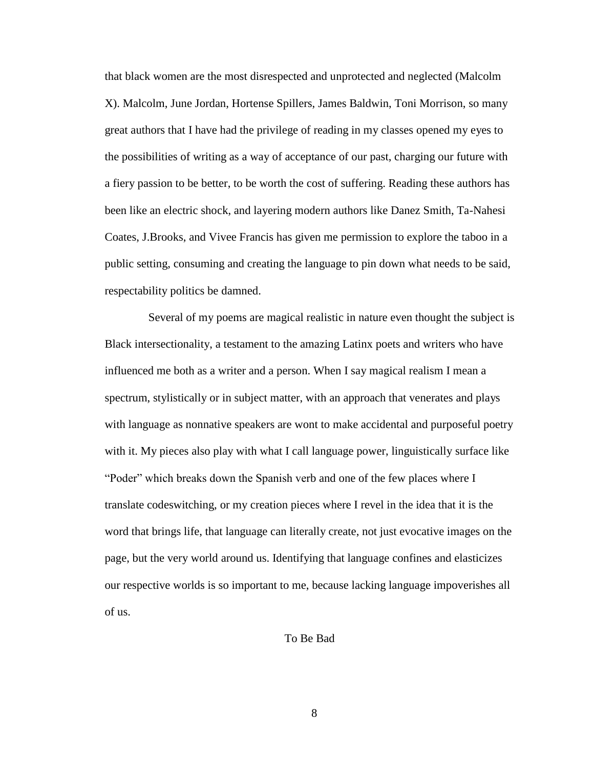that black women are the most disrespected and unprotected and neglected (Malcolm X). Malcolm, June Jordan, Hortense Spillers, James Baldwin, Toni Morrison, so many great authors that I have had the privilege of reading in my classes opened my eyes to the possibilities of writing as a way of acceptance of our past, charging our future with a fiery passion to be better, to be worth the cost of suffering. Reading these authors has been like an electric shock, and layering modern authors like Danez Smith, Ta-Nahesi Coates, J.Brooks, and Vivee Francis has given me permission to explore the taboo in a public setting, consuming and creating the language to pin down what needs to be said, respectability politics be damned.

Several of my poems are magical realistic in nature even thought the subject is Black intersectionality, a testament to the amazing Latinx poets and writers who have influenced me both as a writer and a person. When I say magical realism I mean a spectrum, stylistically or in subject matter, with an approach that venerates and plays with language as nonnative speakers are wont to make accidental and purposeful poetry with it. My pieces also play with what I call language power, linguistically surface like "Poder" which breaks down the Spanish verb and one of the few places where I translate codeswitching, or my creation pieces where I revel in the idea that it is the word that brings life, that language can literally create, not just evocative images on the page, but the very world around us. Identifying that language confines and elasticizes our respective worlds is so important to me, because lacking language impoverishes all of us.

#### To Be Bad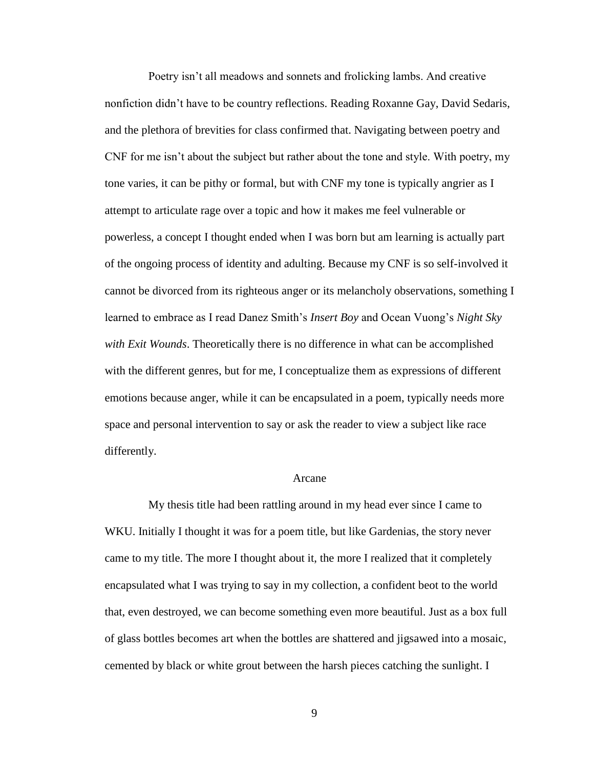Poetry isn't all meadows and sonnets and frolicking lambs. And creative nonfiction didn't have to be country reflections. Reading Roxanne Gay, David Sedaris, and the plethora of brevities for class confirmed that. Navigating between poetry and CNF for me isn't about the subject but rather about the tone and style. With poetry, my tone varies, it can be pithy or formal, but with CNF my tone is typically angrier as I attempt to articulate rage over a topic and how it makes me feel vulnerable or powerless, a concept I thought ended when I was born but am learning is actually part of the ongoing process of identity and adulting. Because my CNF is so self-involved it cannot be divorced from its righteous anger or its melancholy observations, something I learned to embrace as I read Danez Smith's *Insert Boy* and Ocean Vuong's *Night Sky with Exit Wounds*. Theoretically there is no difference in what can be accomplished with the different genres, but for me, I conceptualize them as expressions of different emotions because anger, while it can be encapsulated in a poem, typically needs more space and personal intervention to say or ask the reader to view a subject like race differently.

#### Arcane

My thesis title had been rattling around in my head ever since I came to WKU. Initially I thought it was for a poem title, but like Gardenias, the story never came to my title. The more I thought about it, the more I realized that it completely encapsulated what I was trying to say in my collection, a confident beot to the world that, even destroyed, we can become something even more beautiful. Just as a box full of glass bottles becomes art when the bottles are shattered and jigsawed into a mosaic, cemented by black or white grout between the harsh pieces catching the sunlight. I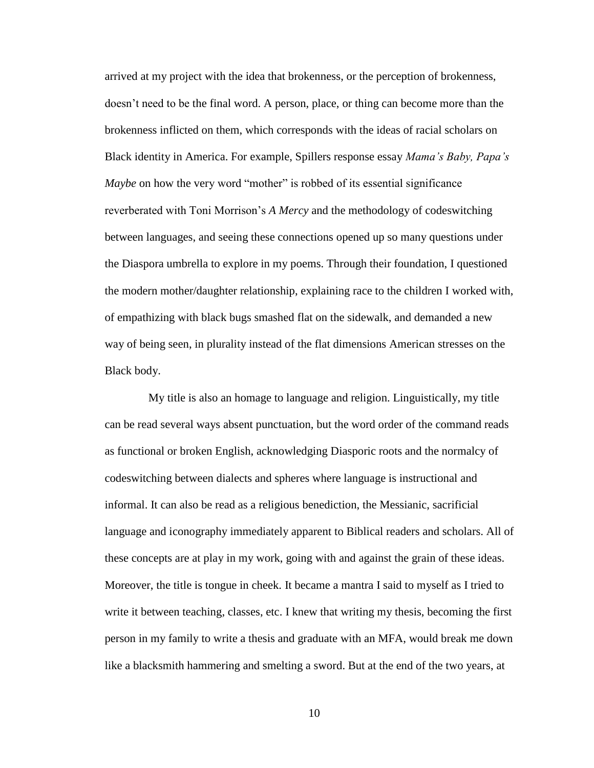arrived at my project with the idea that brokenness, or the perception of brokenness, doesn't need to be the final word. A person, place, or thing can become more than the brokenness inflicted on them, which corresponds with the ideas of racial scholars on Black identity in America. For example, Spillers response essay *Mama's Baby, Papa's Maybe* on how the very word "mother" is robbed of its essential significance reverberated with Toni Morrison's *A Mercy* and the methodology of codeswitching between languages, and seeing these connections opened up so many questions under the Diaspora umbrella to explore in my poems. Through their foundation, I questioned the modern mother/daughter relationship, explaining race to the children I worked with, of empathizing with black bugs smashed flat on the sidewalk, and demanded a new way of being seen, in plurality instead of the flat dimensions American stresses on the Black body.

My title is also an homage to language and religion. Linguistically, my title can be read several ways absent punctuation, but the word order of the command reads as functional or broken English, acknowledging Diasporic roots and the normalcy of codeswitching between dialects and spheres where language is instructional and informal. It can also be read as a religious benediction, the Messianic, sacrificial language and iconography immediately apparent to Biblical readers and scholars. All of these concepts are at play in my work, going with and against the grain of these ideas. Moreover, the title is tongue in cheek. It became a mantra I said to myself as I tried to write it between teaching, classes, etc. I knew that writing my thesis, becoming the first person in my family to write a thesis and graduate with an MFA, would break me down like a blacksmith hammering and smelting a sword. But at the end of the two years, at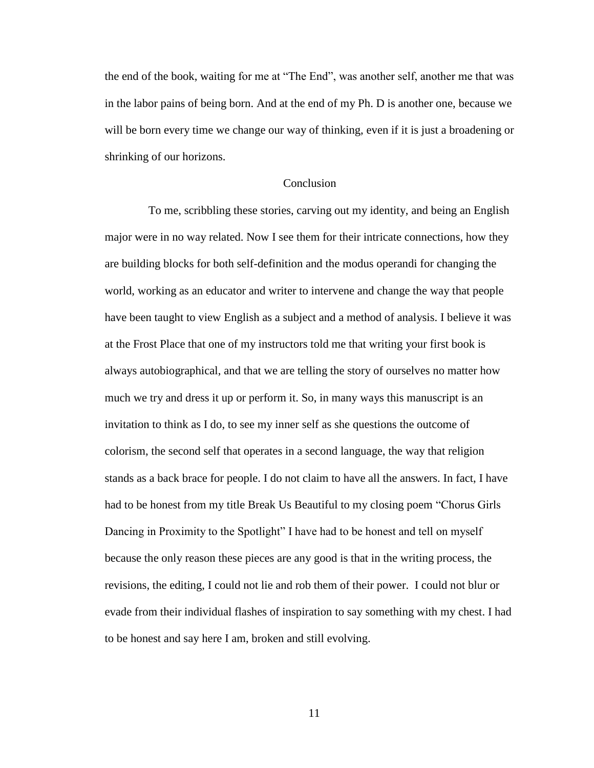the end of the book, waiting for me at "The End", was another self, another me that was in the labor pains of being born. And at the end of my Ph. D is another one, because we will be born every time we change our way of thinking, even if it is just a broadening or shrinking of our horizons.

#### **Conclusion**

To me, scribbling these stories, carving out my identity, and being an English major were in no way related. Now I see them for their intricate connections, how they are building blocks for both self-definition and the modus operandi for changing the world, working as an educator and writer to intervene and change the way that people have been taught to view English as a subject and a method of analysis. I believe it was at the Frost Place that one of my instructors told me that writing your first book is always autobiographical, and that we are telling the story of ourselves no matter how much we try and dress it up or perform it. So, in many ways this manuscript is an invitation to think as I do, to see my inner self as she questions the outcome of colorism, the second self that operates in a second language, the way that religion stands as a back brace for people. I do not claim to have all the answers. In fact, I have had to be honest from my title Break Us Beautiful to my closing poem "Chorus Girls Dancing in Proximity to the Spotlight" I have had to be honest and tell on myself because the only reason these pieces are any good is that in the writing process, the revisions, the editing, I could not lie and rob them of their power. I could not blur or evade from their individual flashes of inspiration to say something with my chest. I had to be honest and say here I am, broken and still evolving.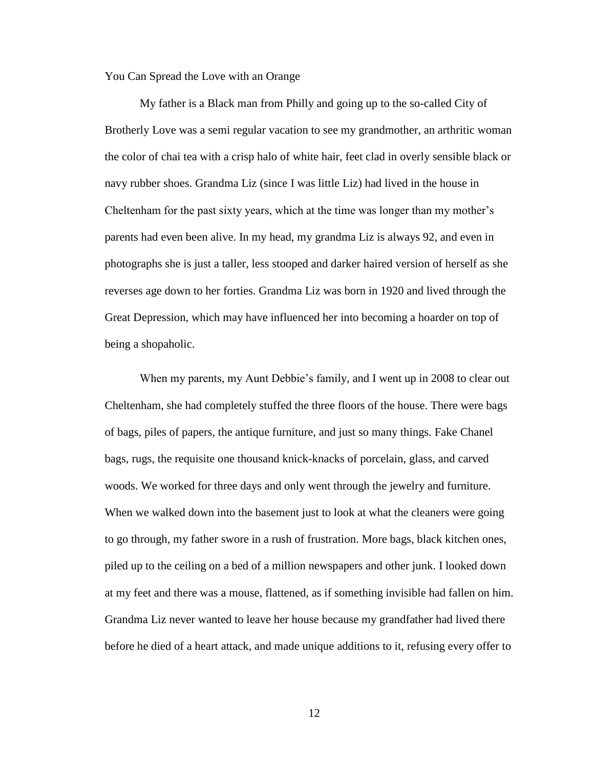You Can Spread the Love with an Orange

My father is a Black man from Philly and going up to the so-called City of Brotherly Love was a semi regular vacation to see my grandmother, an arthritic woman the color of chai tea with a crisp halo of white hair, feet clad in overly sensible black or navy rubber shoes. Grandma Liz (since I was little Liz) had lived in the house in Cheltenham for the past sixty years, which at the time was longer than my mother's parents had even been alive. In my head, my grandma Liz is always 92, and even in photographs she is just a taller, less stooped and darker haired version of herself as she reverses age down to her forties. Grandma Liz was born in 1920 and lived through the Great Depression, which may have influenced her into becoming a hoarder on top of being a shopaholic.

When my parents, my Aunt Debbie's family, and I went up in 2008 to clear out Cheltenham, she had completely stuffed the three floors of the house. There were bags of bags, piles of papers, the antique furniture, and just so many things. Fake Chanel bags, rugs, the requisite one thousand knick-knacks of porcelain, glass, and carved woods. We worked for three days and only went through the jewelry and furniture. When we walked down into the basement just to look at what the cleaners were going to go through, my father swore in a rush of frustration. More bags, black kitchen ones, piled up to the ceiling on a bed of a million newspapers and other junk. I looked down at my feet and there was a mouse, flattened, as if something invisible had fallen on him. Grandma Liz never wanted to leave her house because my grandfather had lived there before he died of a heart attack, and made unique additions to it, refusing every offer to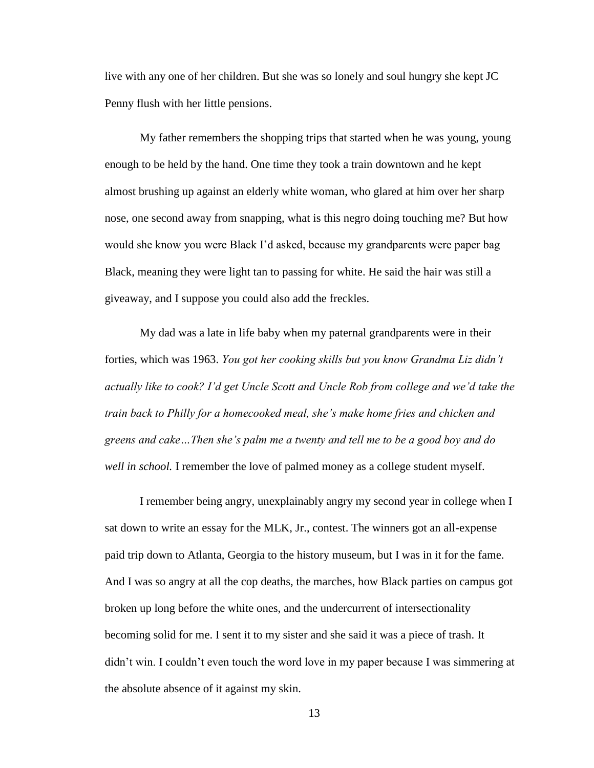live with any one of her children. But she was so lonely and soul hungry she kept JC Penny flush with her little pensions.

My father remembers the shopping trips that started when he was young, young enough to be held by the hand. One time they took a train downtown and he kept almost brushing up against an elderly white woman, who glared at him over her sharp nose, one second away from snapping, what is this negro doing touching me? But how would she know you were Black I'd asked, because my grandparents were paper bag Black, meaning they were light tan to passing for white. He said the hair was still a giveaway, and I suppose you could also add the freckles.

My dad was a late in life baby when my paternal grandparents were in their forties, which was 1963. *You got her cooking skills but you know Grandma Liz didn't actually like to cook? I'd get Uncle Scott and Uncle Rob from college and we'd take the train back to Philly for a homecooked meal, she's make home fries and chicken and greens and cake…Then she's palm me a twenty and tell me to be a good boy and do well in school.* I remember the love of palmed money as a college student myself.

I remember being angry, unexplainably angry my second year in college when I sat down to write an essay for the MLK, Jr., contest. The winners got an all-expense paid trip down to Atlanta, Georgia to the history museum, but I was in it for the fame. And I was so angry at all the cop deaths, the marches, how Black parties on campus got broken up long before the white ones, and the undercurrent of intersectionality becoming solid for me. I sent it to my sister and she said it was a piece of trash. It didn't win. I couldn't even touch the word love in my paper because I was simmering at the absolute absence of it against my skin.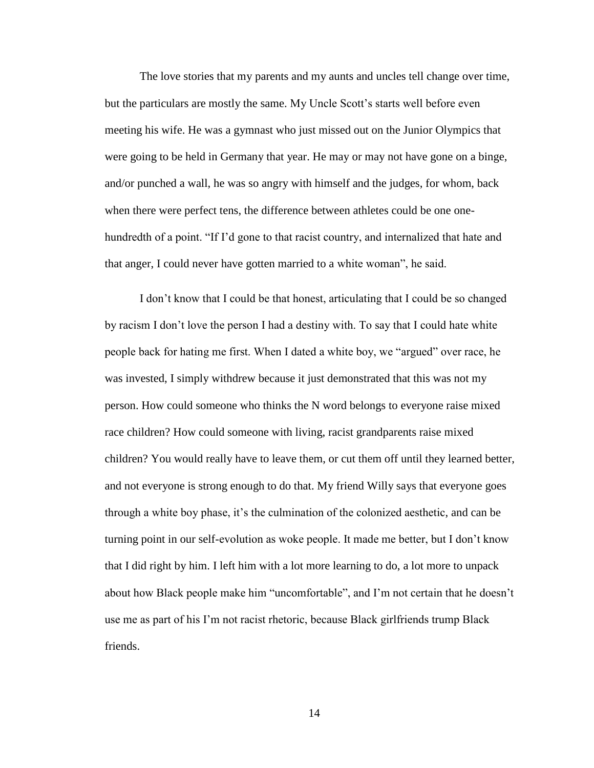The love stories that my parents and my aunts and uncles tell change over time, but the particulars are mostly the same. My Uncle Scott's starts well before even meeting his wife. He was a gymnast who just missed out on the Junior Olympics that were going to be held in Germany that year. He may or may not have gone on a binge, and/or punched a wall, he was so angry with himself and the judges, for whom, back when there were perfect tens, the difference between athletes could be one onehundredth of a point. "If I'd gone to that racist country, and internalized that hate and that anger, I could never have gotten married to a white woman", he said.

I don't know that I could be that honest, articulating that I could be so changed by racism I don't love the person I had a destiny with. To say that I could hate white people back for hating me first. When I dated a white boy, we "argued" over race, he was invested, I simply withdrew because it just demonstrated that this was not my person. How could someone who thinks the N word belongs to everyone raise mixed race children? How could someone with living, racist grandparents raise mixed children? You would really have to leave them, or cut them off until they learned better, and not everyone is strong enough to do that. My friend Willy says that everyone goes through a white boy phase, it's the culmination of the colonized aesthetic, and can be turning point in our self-evolution as woke people. It made me better, but I don't know that I did right by him. I left him with a lot more learning to do, a lot more to unpack about how Black people make him "uncomfortable", and I'm not certain that he doesn't use me as part of his I'm not racist rhetoric, because Black girlfriends trump Black friends.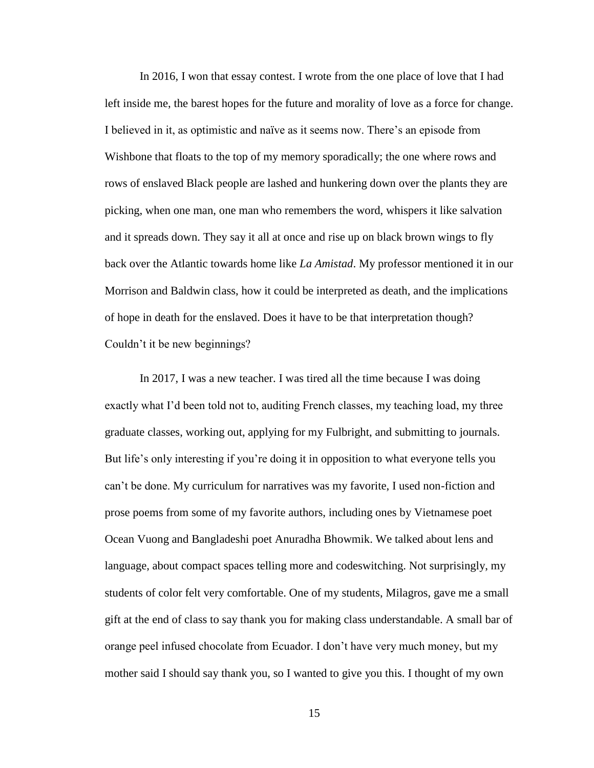In 2016, I won that essay contest. I wrote from the one place of love that I had left inside me, the barest hopes for the future and morality of love as a force for change. I believed in it, as optimistic and naïve as it seems now. There's an episode from Wishbone that floats to the top of my memory sporadically; the one where rows and rows of enslaved Black people are lashed and hunkering down over the plants they are picking, when one man, one man who remembers the word, whispers it like salvation and it spreads down. They say it all at once and rise up on black brown wings to fly back over the Atlantic towards home like *La Amistad*. My professor mentioned it in our Morrison and Baldwin class, how it could be interpreted as death, and the implications of hope in death for the enslaved. Does it have to be that interpretation though? Couldn't it be new beginnings?

In 2017, I was a new teacher. I was tired all the time because I was doing exactly what I'd been told not to, auditing French classes, my teaching load, my three graduate classes, working out, applying for my Fulbright, and submitting to journals. But life's only interesting if you're doing it in opposition to what everyone tells you can't be done. My curriculum for narratives was my favorite, I used non-fiction and prose poems from some of my favorite authors, including ones by Vietnamese poet Ocean Vuong and Bangladeshi poet Anuradha Bhowmik. We talked about lens and language, about compact spaces telling more and codeswitching. Not surprisingly, my students of color felt very comfortable. One of my students, Milagros, gave me a small gift at the end of class to say thank you for making class understandable. A small bar of orange peel infused chocolate from Ecuador. I don't have very much money, but my mother said I should say thank you, so I wanted to give you this. I thought of my own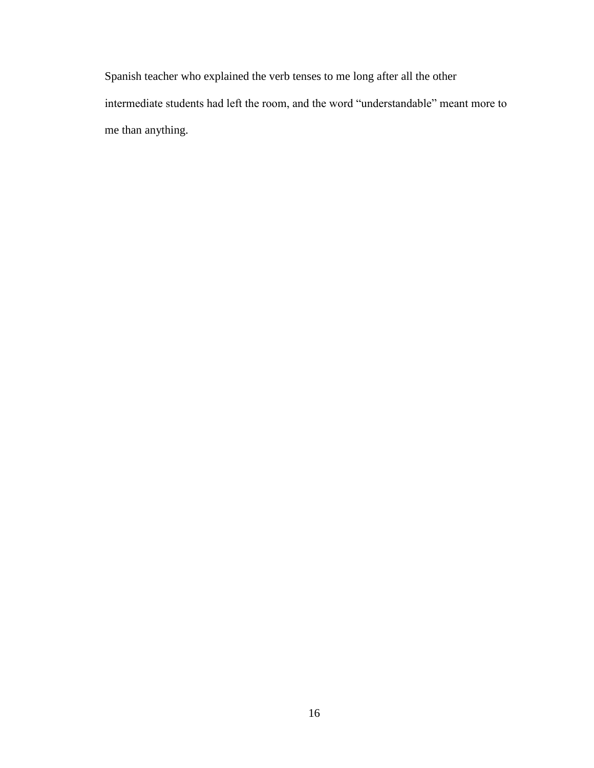Spanish teacher who explained the verb tenses to me long after all the other intermediate students had left the room, and the word "understandable" meant more to me than anything.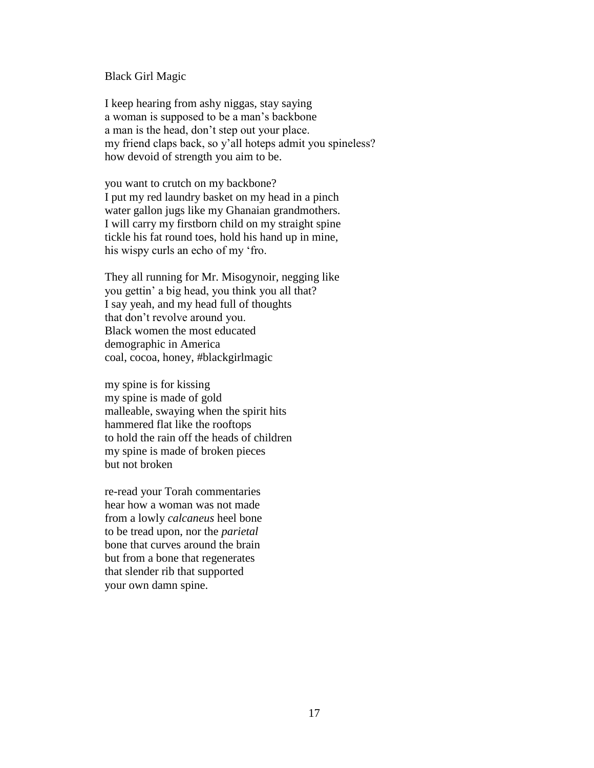#### Black Girl Magic

I keep hearing from ashy niggas, stay saying a woman is supposed to be a man's backbone a man is the head, don't step out your place. my friend claps back, so y'all hoteps admit you spineless? how devoid of strength you aim to be.

you want to crutch on my backbone? I put my red laundry basket on my head in a pinch water gallon jugs like my Ghanaian grandmothers. I will carry my firstborn child on my straight spine tickle his fat round toes, hold his hand up in mine, his wispy curls an echo of my 'fro.

They all running for Mr. Misogynoir, negging like you gettin' a big head, you think you all that? I say yeah, and my head full of thoughts that don't revolve around you. Black women the most educated demographic in America coal, cocoa, honey, #blackgirlmagic

my spine is for kissing my spine is made of gold malleable, swaying when the spirit hits hammered flat like the rooftops to hold the rain off the heads of children my spine is made of broken pieces but not broken

re-read your Torah commentaries hear how a woman was not made from a lowly *calcaneus* heel bone to be tread upon, nor the *parietal*  bone that curves around the brain but from a bone that regenerates that slender rib that supported your own damn spine.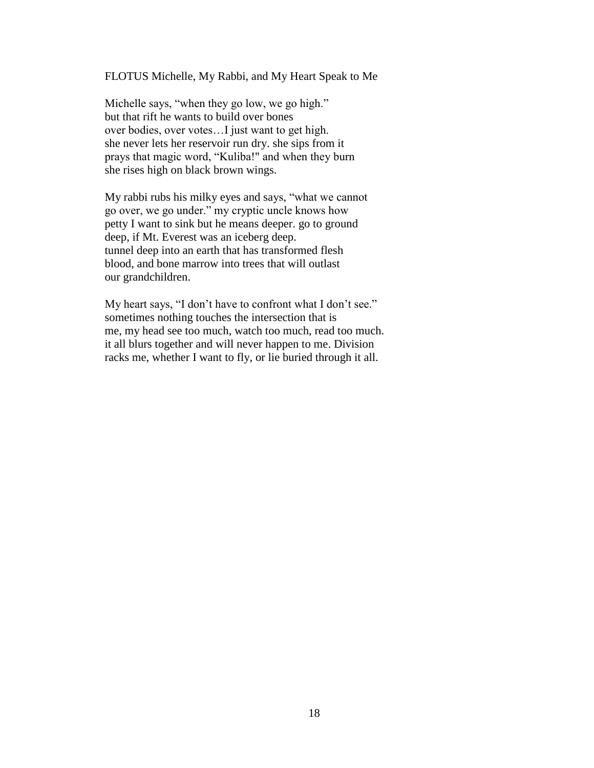FLOTUS Michelle, My Rabbi, and My Heart Speak to Me

Michelle says, "when they go low, we go high." but that rift he wants to build over bones over bodies, over votes…I just want to get high. she never lets her reservoir run dry. she sips from it prays that magic word, "Kuliba!" and when they burn she rises high on black brown wings.

My rabbi rubs his milky eyes and says, "what we cannot go over, we go under." my cryptic uncle knows how petty I want to sink but he means deeper. go to ground deep, if Mt. Everest was an iceberg deep. tunnel deep into an earth that has transformed flesh blood, and bone marrow into trees that will outlast our grandchildren.

My heart says, "I don't have to confront what I don't see." sometimes nothing touches the intersection that is me, my head see too much, watch too much, read too much. it all blurs together and will never happen to me. Division racks me, whether I want to fly, or lie buried through it all.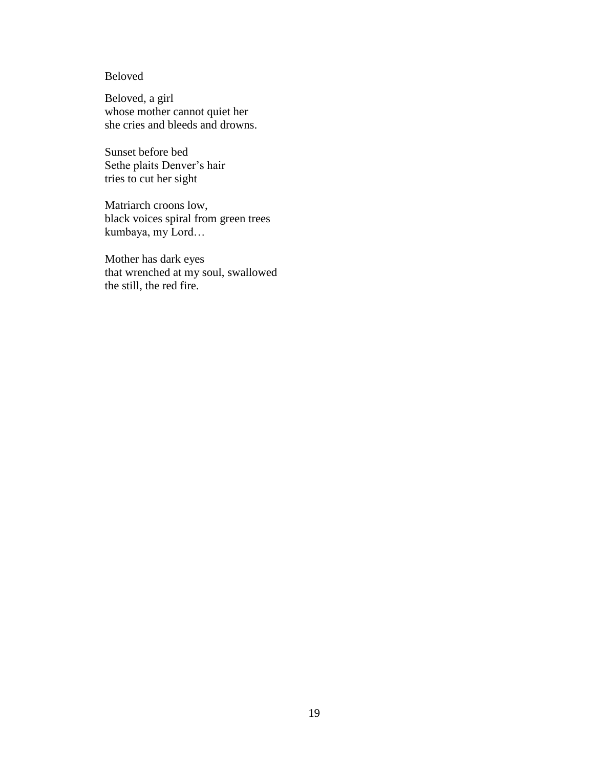### Beloved

Beloved, a girl whose mother cannot quiet her she cries and bleeds and drowns.

Sunset before bed Sethe plaits Denver's hair tries to cut her sight

Matriarch croons low, black voices spiral from green trees kumbaya, my Lord…

Mother has dark eyes that wrenched at my soul, swallowed the still, the red fire.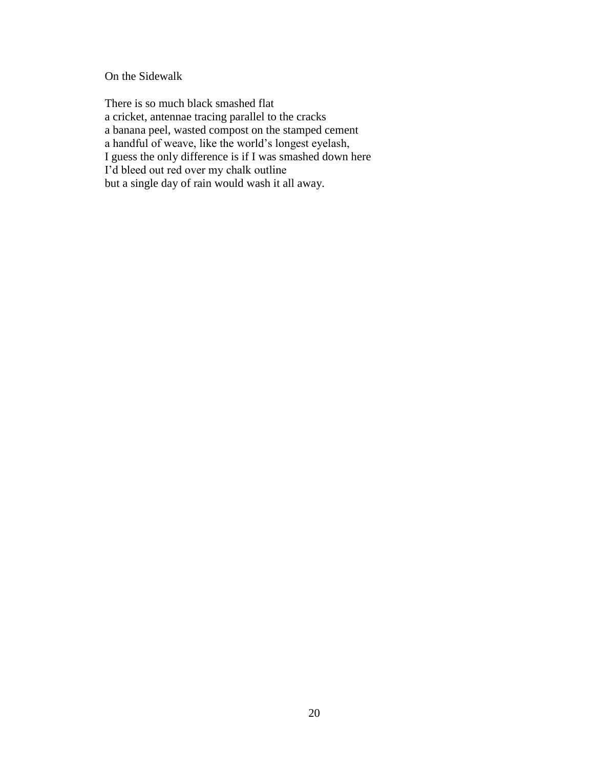On the Sidewalk

There is so much black smashed flat a cricket, antennae tracing parallel to the cracks a banana peel, wasted compost on the stamped cement a handful of weave, like the world's longest eyelash, I guess the only difference is if I was smashed down here I'd bleed out red over my chalk outline but a single day of rain would wash it all away.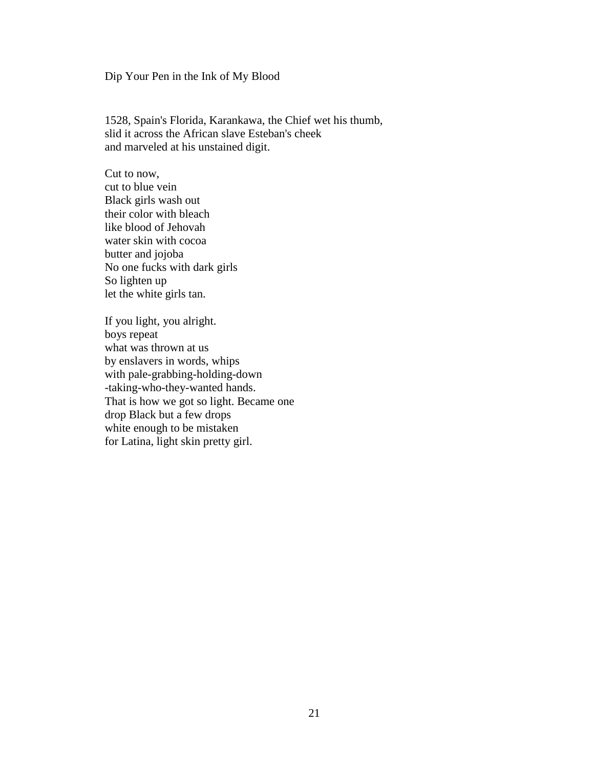Dip Your Pen in the Ink of My Blood

1528, Spain's Florida, Karankawa, the Chief wet his thumb, slid it across the African slave Esteban's cheek and marveled at his unstained digit.

Cut to now, cut to blue vein Black girls wash out their color with bleach like blood of Jehovah water skin with cocoa butter and jojoba No one fucks with dark girls So lighten up let the white girls tan.

If you light, you alright. boys repeat what was thrown at us by enslavers in words, whips with pale-grabbing-holding-down -taking-who-they-wanted hands. That is how we got so light. Became one drop Black but a few drops white enough to be mistaken for Latina, light skin pretty girl.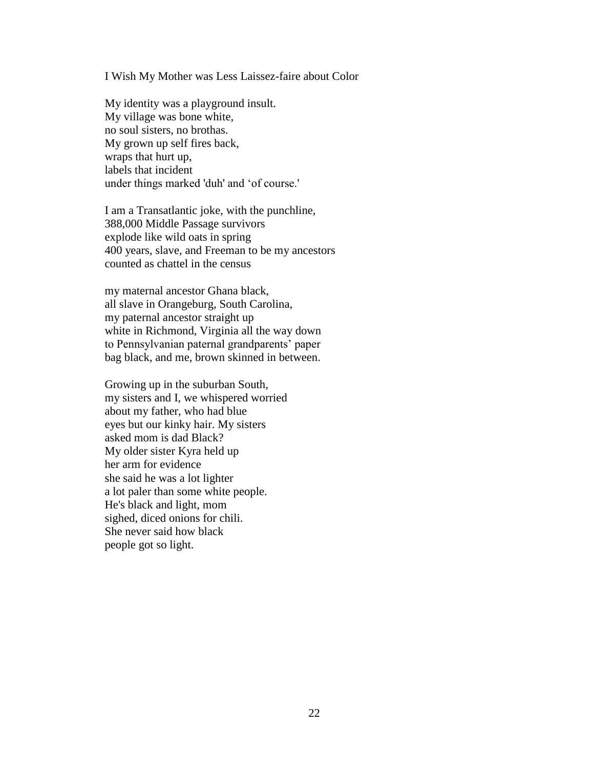I Wish My Mother was Less Laissez-faire about Color

My identity was a playground insult. My village was bone white, no soul sisters, no brothas. My grown up self fires back, wraps that hurt up, labels that incident under things marked 'duh' and 'of course.'

I am a Transatlantic joke, with the punchline, 388,000 Middle Passage survivors explode like wild oats in spring 400 years, slave, and Freeman to be my ancestors counted as chattel in the census

my maternal ancestor Ghana black, all slave in Orangeburg, South Carolina, my paternal ancestor straight up white in Richmond, Virginia all the way down to Pennsylvanian paternal grandparents' paper bag black, and me, brown skinned in between.

Growing up in the suburban South, my sisters and I, we whispered worried about my father, who had blue eyes but our kinky hair. My sisters asked mom is dad Black? My older sister Kyra held up her arm for evidence she said he was a lot lighter a lot paler than some white people. He's black and light, mom sighed, diced onions for chili. She never said how black people got so light.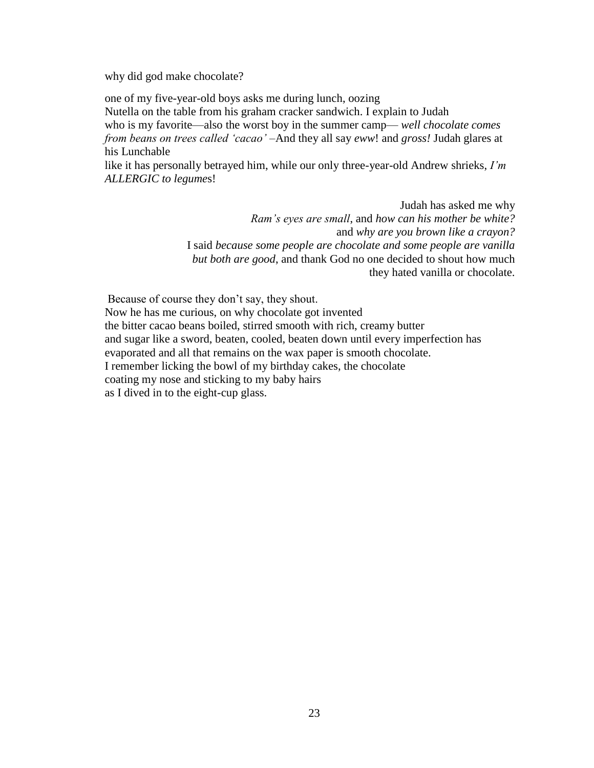why did god make chocolate?

one of my five-year-old boys asks me during lunch, oozing Nutella on the table from his graham cracker sandwich. I explain to Judah who is my favorite—also the worst boy in the summer camp— *well chocolate comes from beans on trees called 'cacao' –*And they all say *eww*! and *gross!* Judah glares at his Lunchable

like it has personally betrayed him, while our only three-year-old Andrew shrieks, *I'm ALLERGIC to legume*s!

> Judah has asked me why *Ram's eyes are small*, and *how can his mother be white?* and *why are you brown like a crayon?* I said *because some people are chocolate and some people are vanilla but both are good*, and thank God no one decided to shout how much they hated vanilla or chocolate.

Because of course they don't say, they shout.

Now he has me curious, on why chocolate got invented the bitter cacao beans boiled, stirred smooth with rich, creamy butter and sugar like a sword, beaten, cooled, beaten down until every imperfection has evaporated and all that remains on the wax paper is smooth chocolate. I remember licking the bowl of my birthday cakes, the chocolate coating my nose and sticking to my baby hairs as I dived in to the eight-cup glass.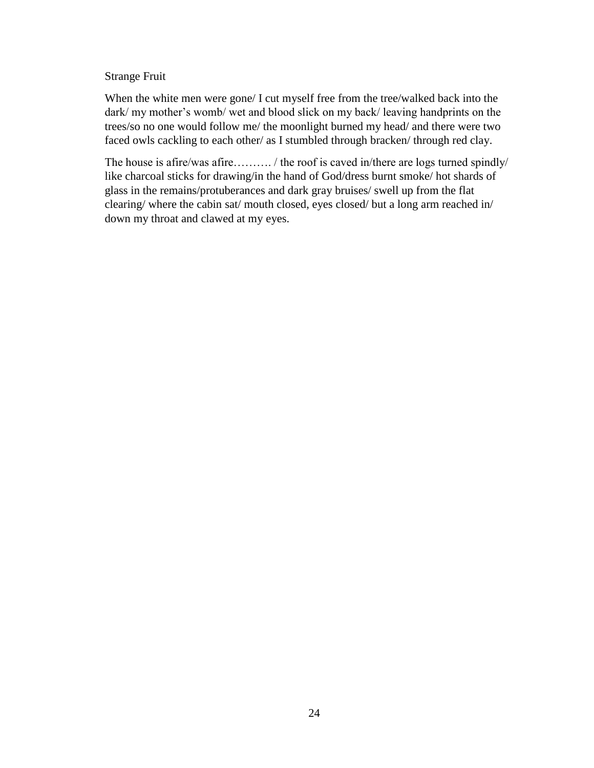### Strange Fruit

When the white men were gone/ I cut myself free from the tree/walked back into the dark/ my mother's womb/ wet and blood slick on my back/ leaving handprints on the trees/so no one would follow me/ the moonlight burned my head/ and there were two faced owls cackling to each other/ as I stumbled through bracken/ through red clay.

The house is afire/was afire……….. / the roof is caved in/there are logs turned spindly/ like charcoal sticks for drawing/in the hand of God/dress burnt smoke/ hot shards of glass in the remains/protuberances and dark gray bruises/ swell up from the flat clearing/ where the cabin sat/ mouth closed, eyes closed/ but a long arm reached in/ down my throat and clawed at my eyes.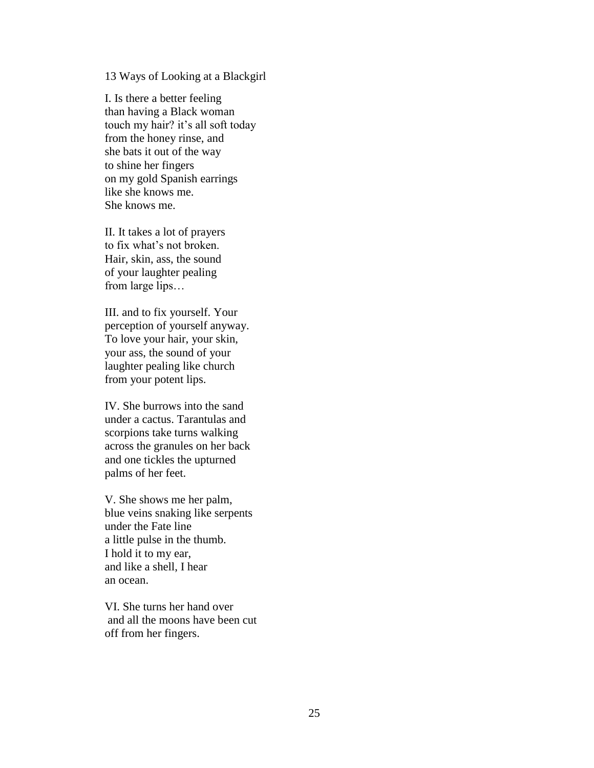13 Ways of Looking at a Blackgirl

I. Is there a better feeling than having a Black woman touch my hair? it's all soft today from the honey rinse, and she bats it out of the way to shine her fingers on my gold Spanish earrings like she knows me. She knows me.

II. It takes a lot of prayers to fix what's not broken. Hair, skin, ass, the sound of your laughter pealing from large lips…

III. and to fix yourself. Your perception of yourself anyway. To love your hair, your skin, your ass, the sound of your laughter pealing like church from your potent lips.

IV. She burrows into the sand under a cactus. Tarantulas and scorpions take turns walking across the granules on her back and one tickles the upturned palms of her feet.

V. She shows me her palm, blue veins snaking like serpents under the Fate line a little pulse in the thumb. I hold it to my ear, and like a shell, I hear an ocean.

VI. She turns her hand over and all the moons have been cut off from her fingers.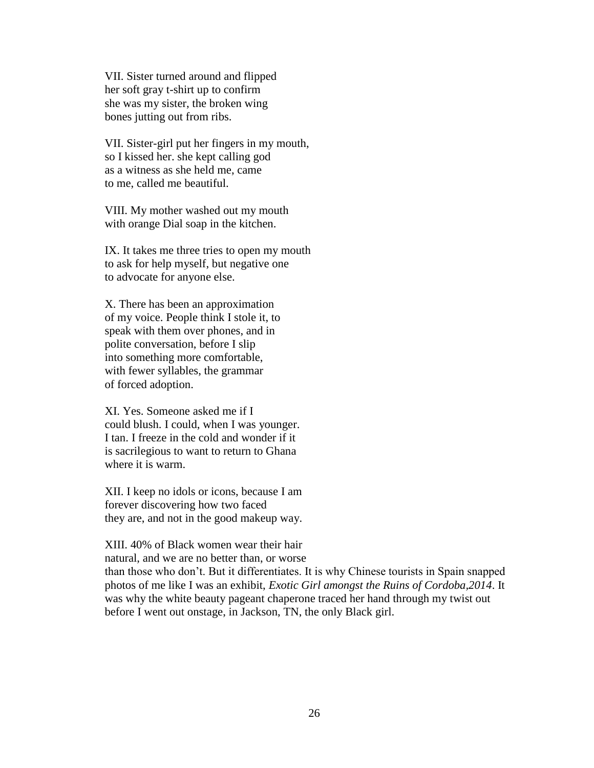VII. Sister turned around and flipped her soft gray t-shirt up to confirm she was my sister, the broken wing bones jutting out from ribs.

VII. Sister-girl put her fingers in my mouth, so I kissed her. she kept calling god as a witness as she held me, came to me, called me beautiful.

VIII. My mother washed out my mouth with orange Dial soap in the kitchen.

IX. It takes me three tries to open my mouth to ask for help myself, but negative one to advocate for anyone else.

X. There has been an approximation of my voice. People think I stole it, to speak with them over phones, and in polite conversation, before I slip into something more comfortable, with fewer syllables, the grammar of forced adoption.

XI. Yes. Someone asked me if I could blush. I could, when I was younger. I tan. I freeze in the cold and wonder if it is sacrilegious to want to return to Ghana where it is warm.

XII. I keep no idols or icons, because I am forever discovering how two faced they are, and not in the good makeup way.

XIII. 40% of Black women wear their hair natural, and we are no better than, or worse

than those who don't. But it differentiates. It is why Chinese tourists in Spain snapped photos of me like I was an exhibit, *Exotic Girl amongst the Ruins of Cordoba,2014*. It was why the white beauty pageant chaperone traced her hand through my twist out before I went out onstage, in Jackson, TN, the only Black girl.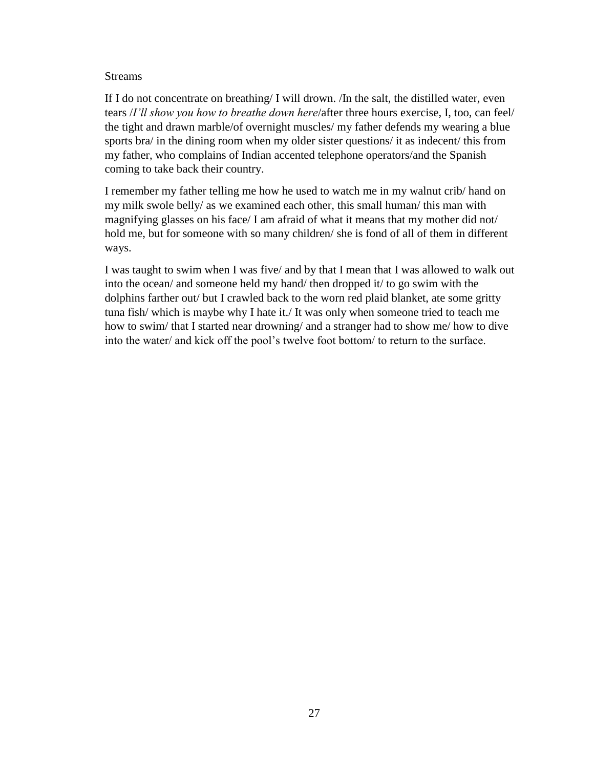### Streams

If I do not concentrate on breathing/ I will drown. /In the salt, the distilled water, even tears /*I'll show you how to breathe down here*/after three hours exercise, I, too, can feel/ the tight and drawn marble/of overnight muscles/ my father defends my wearing a blue sports bra/ in the dining room when my older sister questions/ it as indecent/ this from my father, who complains of Indian accented telephone operators/and the Spanish coming to take back their country.

I remember my father telling me how he used to watch me in my walnut crib/ hand on my milk swole belly/ as we examined each other, this small human/ this man with magnifying glasses on his face/ I am afraid of what it means that my mother did not/ hold me, but for someone with so many children/ she is fond of all of them in different ways.

I was taught to swim when I was five/ and by that I mean that I was allowed to walk out into the ocean/ and someone held my hand/ then dropped it/ to go swim with the dolphins farther out/ but I crawled back to the worn red plaid blanket, ate some gritty tuna fish/ which is maybe why I hate it./ It was only when someone tried to teach me how to swim/ that I started near drowning/ and a stranger had to show me/ how to dive into the water/ and kick off the pool's twelve foot bottom/ to return to the surface.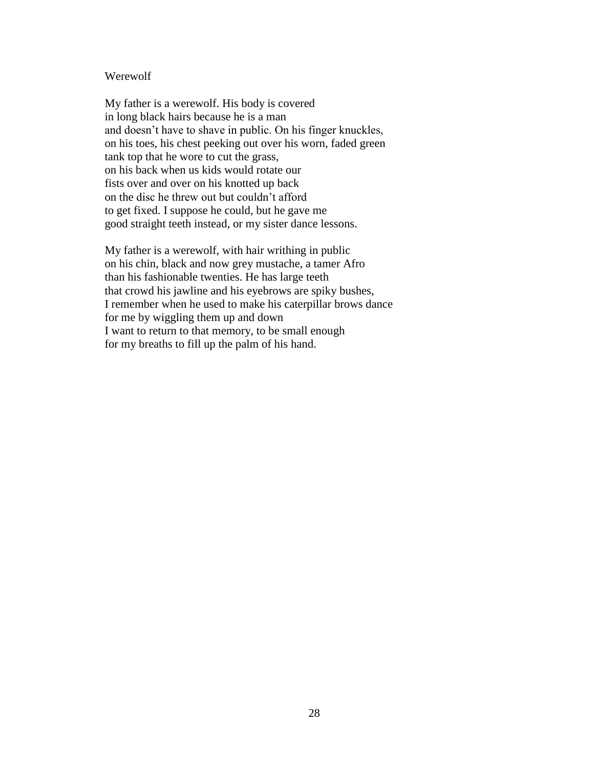#### Werewolf

My father is a werewolf. His body is covered in long black hairs because he is a man and doesn't have to shave in public. On his finger knuckles, on his toes, his chest peeking out over his worn, faded green tank top that he wore to cut the grass, on his back when us kids would rotate our fists over and over on his knotted up back on the disc he threw out but couldn't afford to get fixed. I suppose he could, but he gave me good straight teeth instead, or my sister dance lessons.

My father is a werewolf, with hair writhing in public on his chin, black and now grey mustache, a tamer Afro than his fashionable twenties. He has large teeth that crowd his jawline and his eyebrows are spiky bushes, I remember when he used to make his caterpillar brows dance for me by wiggling them up and down I want to return to that memory, to be small enough for my breaths to fill up the palm of his hand.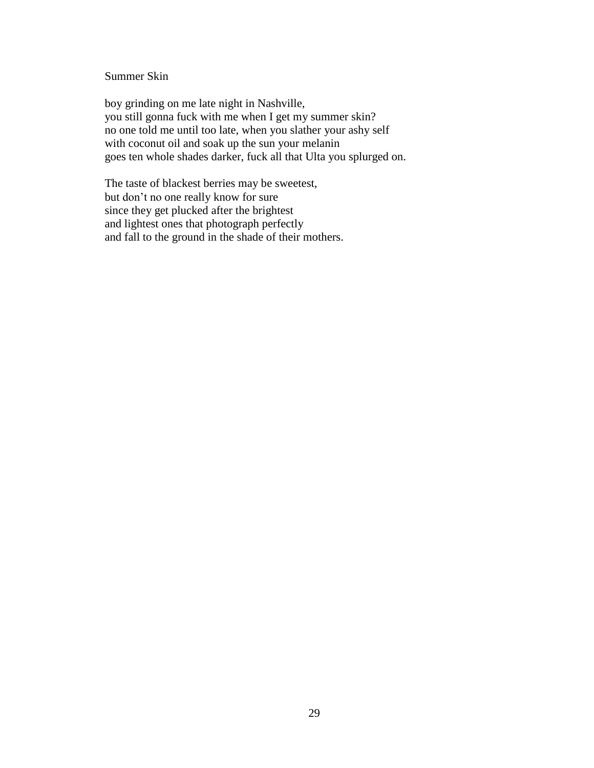### Summer Skin

boy grinding on me late night in Nashville, you still gonna fuck with me when I get my summer skin? no one told me until too late, when you slather your ashy self with coconut oil and soak up the sun your melanin goes ten whole shades darker, fuck all that Ulta you splurged on.

The taste of blackest berries may be sweetest, but don't no one really know for sure since they get plucked after the brightest and lightest ones that photograph perfectly and fall to the ground in the shade of their mothers.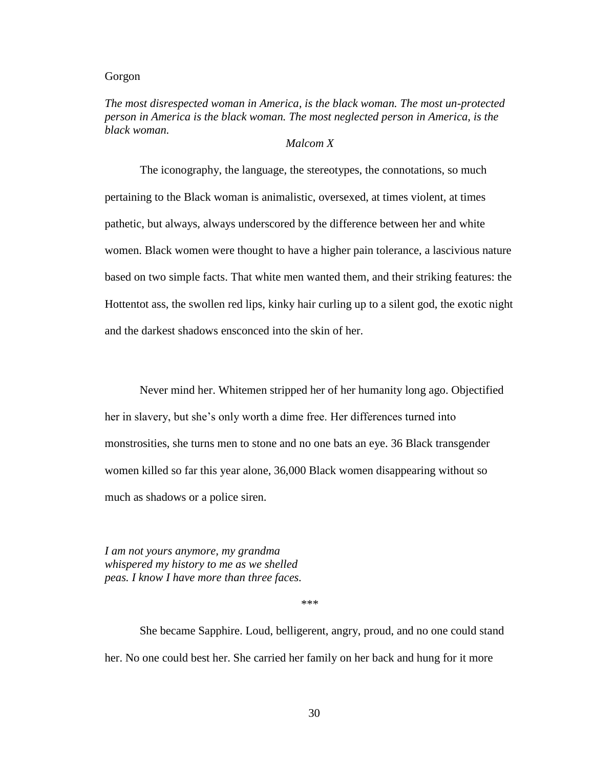#### Gorgon

## *The most disrespected woman in America, is the black woman. The most un-protected person in America is the black woman. The most neglected person in America, is the black woman.*

### *Malcom X*

The iconography, the language, the stereotypes, the connotations, so much pertaining to the Black woman is animalistic, oversexed, at times violent, at times pathetic, but always, always underscored by the difference between her and white women. Black women were thought to have a higher pain tolerance, a lascivious nature based on two simple facts. That white men wanted them, and their striking features: the Hottentot ass, the swollen red lips, kinky hair curling up to a silent god, the exotic night and the darkest shadows ensconced into the skin of her.

Never mind her. Whitemen stripped her of her humanity long ago. Objectified her in slavery, but she's only worth a dime free. Her differences turned into monstrosities, she turns men to stone and no one bats an eye. 36 Black transgender women killed so far this year alone, 36,000 Black women disappearing without so much as shadows or a police siren.

*I am not yours anymore, my grandma whispered my history to me as we shelled peas. I know I have more than three faces.* 

\*\*\*

She became Sapphire. Loud, belligerent, angry, proud, and no one could stand her. No one could best her. She carried her family on her back and hung for it more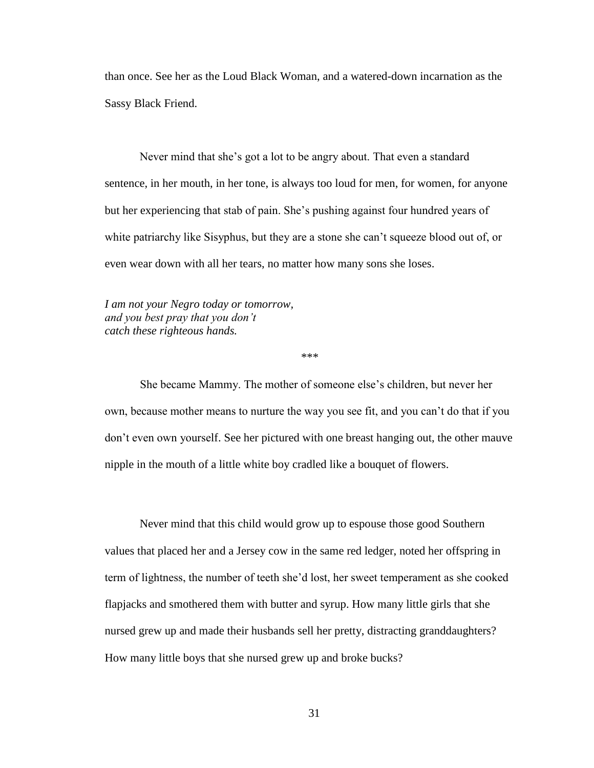than once. See her as the Loud Black Woman, and a watered-down incarnation as the Sassy Black Friend.

Never mind that she's got a lot to be angry about. That even a standard sentence, in her mouth, in her tone, is always too loud for men, for women, for anyone but her experiencing that stab of pain. She's pushing against four hundred years of white patriarchy like Sisyphus, but they are a stone she can't squeeze blood out of, or even wear down with all her tears, no matter how many sons she loses.

*I am not your Negro today or tomorrow, and you best pray that you don't catch these righteous hands.*

\*\*\*

She became Mammy. The mother of someone else's children, but never her own, because mother means to nurture the way you see fit, and you can't do that if you don't even own yourself. See her pictured with one breast hanging out, the other mauve nipple in the mouth of a little white boy cradled like a bouquet of flowers.

Never mind that this child would grow up to espouse those good Southern values that placed her and a Jersey cow in the same red ledger, noted her offspring in term of lightness, the number of teeth she'd lost, her sweet temperament as she cooked flapjacks and smothered them with butter and syrup. How many little girls that she nursed grew up and made their husbands sell her pretty, distracting granddaughters? How many little boys that she nursed grew up and broke bucks?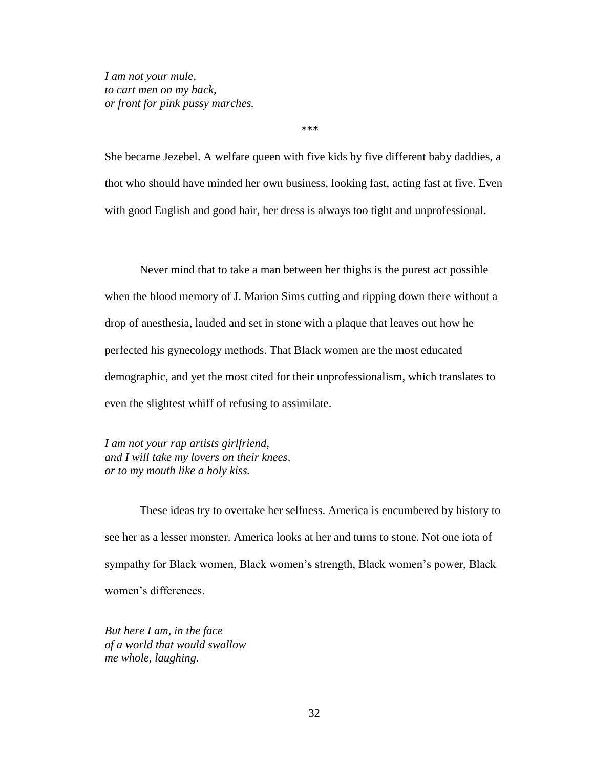*I am not your mule, to cart men on my back, or front for pink pussy marches.*

\*\*\*

She became Jezebel. A welfare queen with five kids by five different baby daddies, a thot who should have minded her own business, looking fast, acting fast at five. Even with good English and good hair, her dress is always too tight and unprofessional.

Never mind that to take a man between her thighs is the purest act possible when the blood memory of J. Marion Sims cutting and ripping down there without a drop of anesthesia, lauded and set in stone with a plaque that leaves out how he perfected his gynecology methods. That Black women are the most educated demographic, and yet the most cited for their unprofessionalism, which translates to even the slightest whiff of refusing to assimilate.

*I am not your rap artists girlfriend, and I will take my lovers on their knees, or to my mouth like a holy kiss.*

These ideas try to overtake her selfness. America is encumbered by history to see her as a lesser monster. America looks at her and turns to stone. Not one iota of sympathy for Black women, Black women's strength, Black women's power, Black women's differences.

*But here I am, in the face of a world that would swallow me whole, laughing.*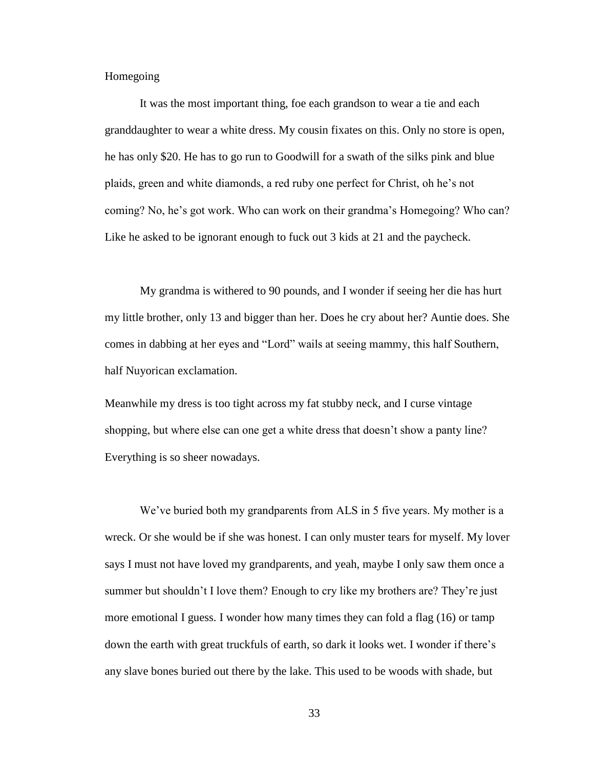Homegoing

It was the most important thing, foe each grandson to wear a tie and each granddaughter to wear a white dress. My cousin fixates on this. Only no store is open, he has only \$20. He has to go run to Goodwill for a swath of the silks pink and blue plaids, green and white diamonds, a red ruby one perfect for Christ, oh he's not coming? No, he's got work. Who can work on their grandma's Homegoing? Who can? Like he asked to be ignorant enough to fuck out 3 kids at 21 and the paycheck.

My grandma is withered to 90 pounds, and I wonder if seeing her die has hurt my little brother, only 13 and bigger than her. Does he cry about her? Auntie does. She comes in dabbing at her eyes and "Lord" wails at seeing mammy, this half Southern, half Nuyorican exclamation.

Meanwhile my dress is too tight across my fat stubby neck, and I curse vintage shopping, but where else can one get a white dress that doesn't show a panty line? Everything is so sheer nowadays.

We've buried both my grandparents from ALS in 5 five years. My mother is a wreck. Or she would be if she was honest. I can only muster tears for myself. My lover says I must not have loved my grandparents, and yeah, maybe I only saw them once a summer but shouldn't I love them? Enough to cry like my brothers are? They're just more emotional I guess. I wonder how many times they can fold a flag (16) or tamp down the earth with great truckfuls of earth, so dark it looks wet. I wonder if there's any slave bones buried out there by the lake. This used to be woods with shade, but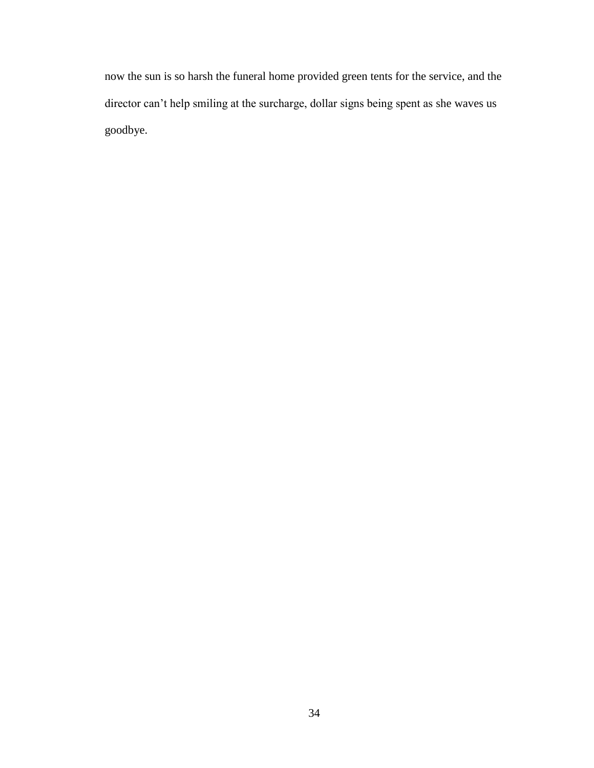now the sun is so harsh the funeral home provided green tents for the service, and the director can't help smiling at the surcharge, dollar signs being spent as she waves us goodbye.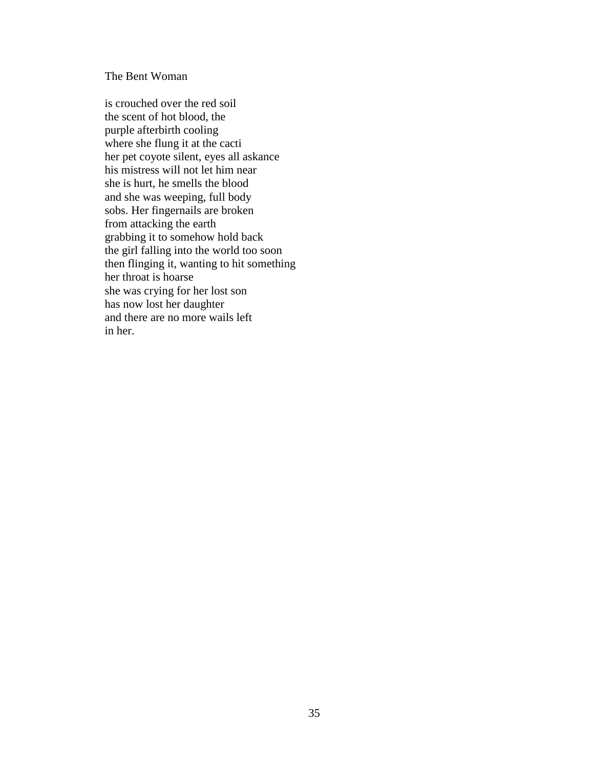The Bent Woman

is crouched over the red soil the scent of hot blood, the purple afterbirth cooling where she flung it at the cacti her pet coyote silent, eyes all askance his mistress will not let him near she is hurt, he smells the blood and she was weeping, full body sobs. Her fingernails are broken from attacking the earth grabbing it to somehow hold back the girl falling into the world too soon then flinging it, wanting to hit something her throat is hoarse she was crying for her lost son has now lost her daughter and there are no more wails left in her.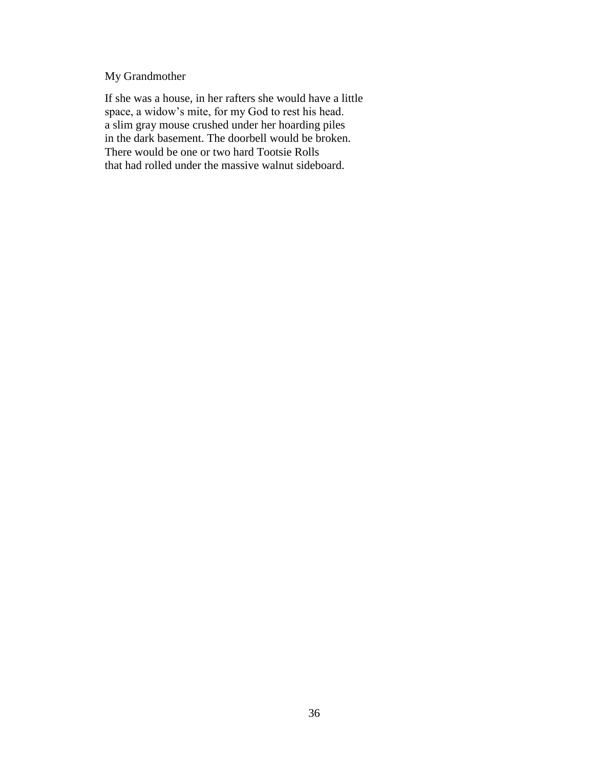# My Grandmother

If she was a house, in her rafters she would have a little space, a widow's mite, for my God to rest his head. a slim gray mouse crushed under her hoarding piles in the dark basement. The doorbell would be broken. There would be one or two hard Tootsie Rolls that had rolled under the massive walnut sideboard.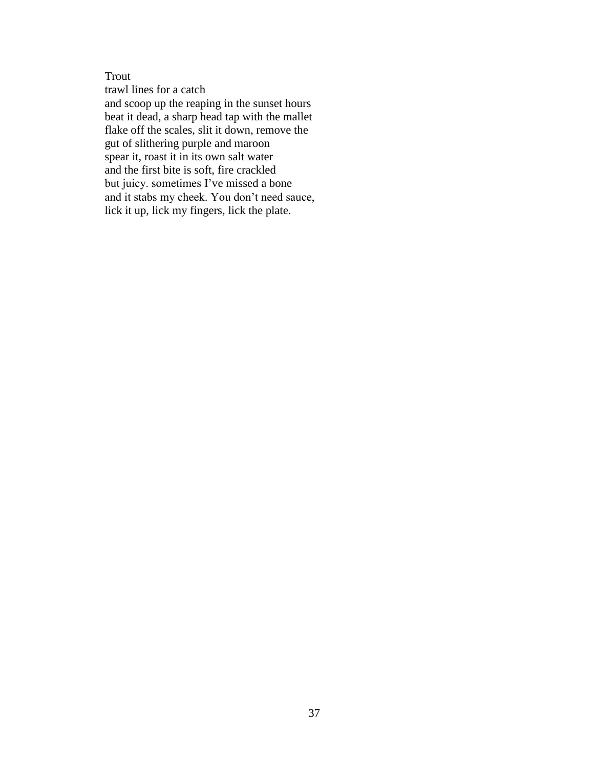## Trout

trawl lines for a catch and scoop up the reaping in the sunset hours beat it dead, a sharp head tap with the mallet flake off the scales, slit it down, remove the gut of slithering purple and maroon spear it, roast it in its own salt water and the first bite is soft, fire crackled but juicy. sometimes I've missed a bone and it stabs my cheek. You don't need sauce, lick it up, lick my fingers, lick the plate.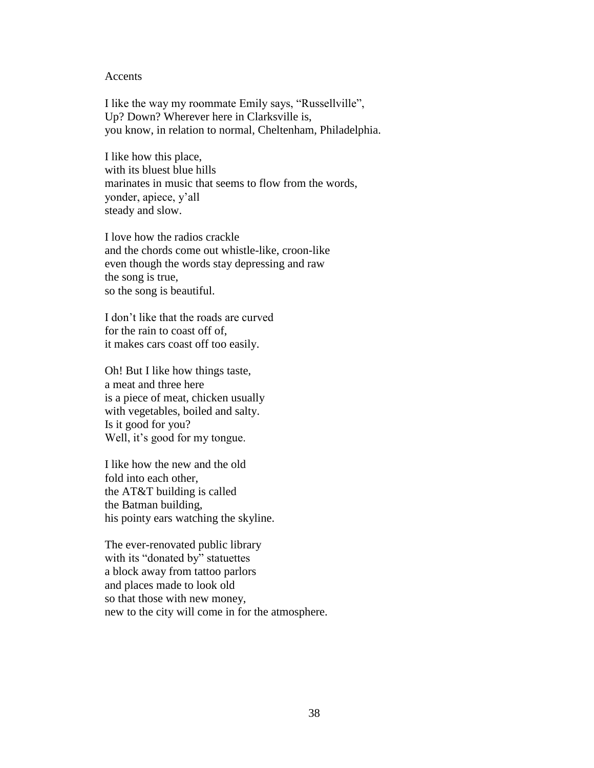#### Accents

I like the way my roommate Emily says, "Russellville", Up? Down? Wherever here in Clarksville is, you know, in relation to normal, Cheltenham, Philadelphia.

I like how this place, with its bluest blue hills marinates in music that seems to flow from the words, yonder, apiece, y'all steady and slow.

I love how the radios crackle and the chords come out whistle-like, croon-like even though the words stay depressing and raw the song is true, so the song is beautiful.

I don't like that the roads are curved for the rain to coast off of, it makes cars coast off too easily.

Oh! But I like how things taste, a meat and three here is a piece of meat, chicken usually with vegetables, boiled and salty. Is it good for you? Well, it's good for my tongue.

I like how the new and the old fold into each other, the AT&T building is called the Batman building, his pointy ears watching the skyline.

The ever-renovated public library with its "donated by" statuettes a block away from tattoo parlors and places made to look old so that those with new money, new to the city will come in for the atmosphere.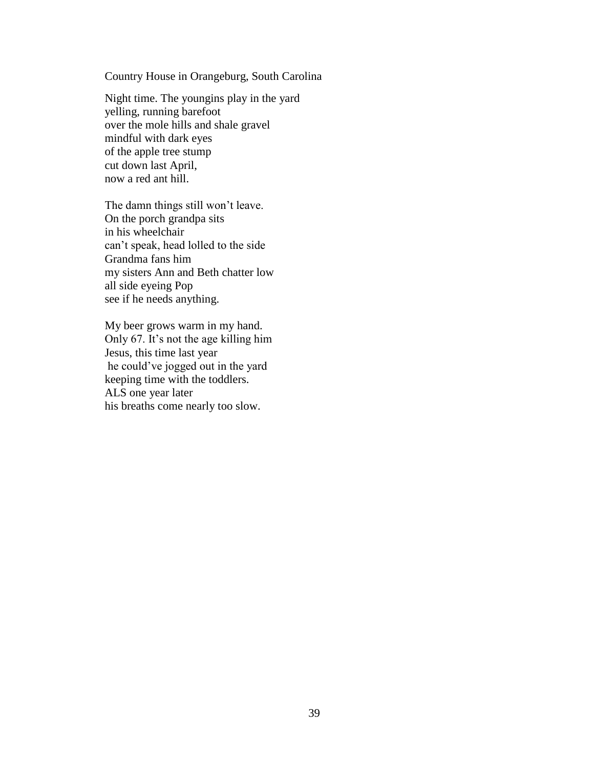Country House in Orangeburg, South Carolina

Night time. The youngins play in the yard yelling, running barefoot over the mole hills and shale gravel mindful with dark eyes of the apple tree stump cut down last April, now a red ant hill.

The damn things still won't leave. On the porch grandpa sits in his wheelchair can't speak, head lolled to the side Grandma fans him my sisters Ann and Beth chatter low all side eyeing Pop see if he needs anything.

My beer grows warm in my hand. Only 67. It's not the age killing him Jesus, this time last year he could've jogged out in the yard keeping time with the toddlers. ALS one year later his breaths come nearly too slow.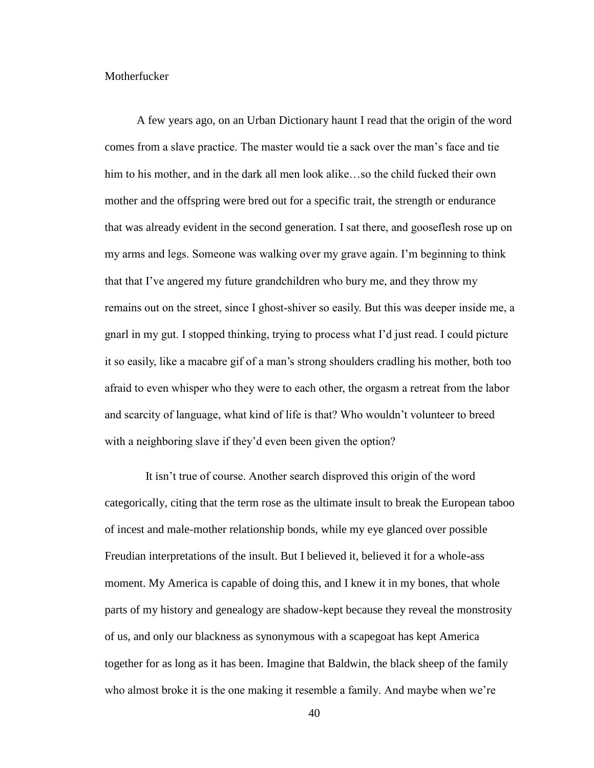#### Motherfucker

 A few years ago, on an Urban Dictionary haunt I read that the origin of the word comes from a slave practice. The master would tie a sack over the man's face and tie him to his mother, and in the dark all men look alike…so the child fucked their own mother and the offspring were bred out for a specific trait, the strength or endurance that was already evident in the second generation. I sat there, and gooseflesh rose up on my arms and legs. Someone was walking over my grave again. I'm beginning to think that that I've angered my future grandchildren who bury me, and they throw my remains out on the street, since I ghost-shiver so easily. But this was deeper inside me, a gnarl in my gut. I stopped thinking, trying to process what I'd just read. I could picture it so easily, like a macabre gif of a man's strong shoulders cradling his mother, both too afraid to even whisper who they were to each other, the orgasm a retreat from the labor and scarcity of language, what kind of life is that? Who wouldn't volunteer to breed with a neighboring slave if they'd even been given the option?

 It isn't true of course. Another search disproved this origin of the word categorically, citing that the term rose as the ultimate insult to break the European taboo of incest and male-mother relationship bonds, while my eye glanced over possible Freudian interpretations of the insult. But I believed it, believed it for a whole-ass moment. My America is capable of doing this, and I knew it in my bones, that whole parts of my history and genealogy are shadow-kept because they reveal the monstrosity of us, and only our blackness as synonymous with a scapegoat has kept America together for as long as it has been. Imagine that Baldwin, the black sheep of the family who almost broke it is the one making it resemble a family. And maybe when we're

40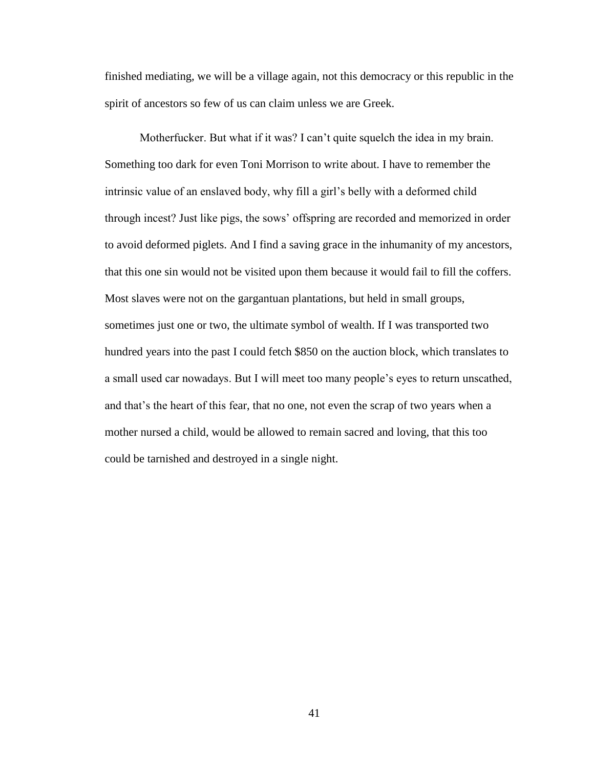finished mediating, we will be a village again, not this democracy or this republic in the spirit of ancestors so few of us can claim unless we are Greek.

 Motherfucker. But what if it was? I can't quite squelch the idea in my brain. Something too dark for even Toni Morrison to write about. I have to remember the intrinsic value of an enslaved body, why fill a girl's belly with a deformed child through incest? Just like pigs, the sows' offspring are recorded and memorized in order to avoid deformed piglets. And I find a saving grace in the inhumanity of my ancestors, that this one sin would not be visited upon them because it would fail to fill the coffers. Most slaves were not on the gargantuan plantations, but held in small groups, sometimes just one or two, the ultimate symbol of wealth. If I was transported two hundred years into the past I could fetch \$850 on the auction block, which translates to a small used car nowadays. But I will meet too many people's eyes to return unscathed, and that's the heart of this fear, that no one, not even the scrap of two years when a mother nursed a child, would be allowed to remain sacred and loving, that this too could be tarnished and destroyed in a single night.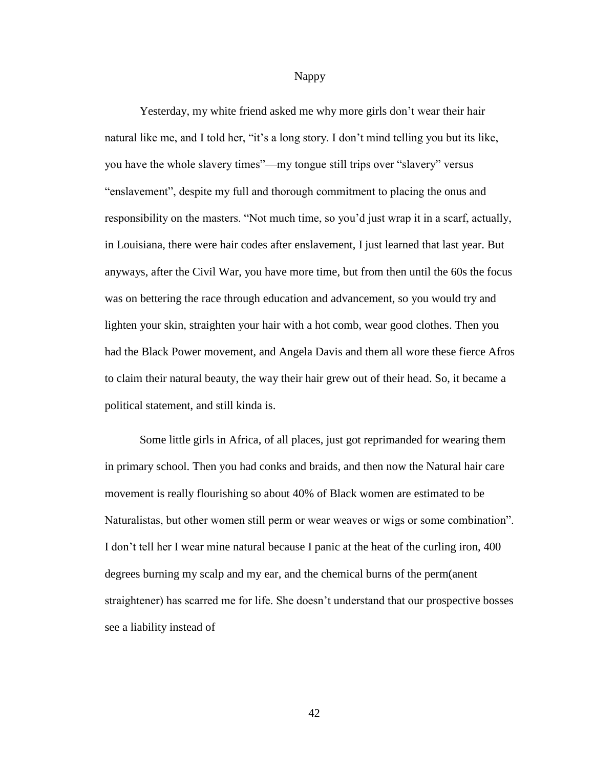Nappy

Yesterday, my white friend asked me why more girls don't wear their hair natural like me, and I told her, "it's a long story. I don't mind telling you but its like, you have the whole slavery times"—my tongue still trips over "slavery" versus "enslavement", despite my full and thorough commitment to placing the onus and responsibility on the masters. "Not much time, so you'd just wrap it in a scarf, actually, in Louisiana, there were hair codes after enslavement, I just learned that last year. But anyways, after the Civil War, you have more time, but from then until the 60s the focus was on bettering the race through education and advancement, so you would try and lighten your skin, straighten your hair with a hot comb, wear good clothes. Then you had the Black Power movement, and Angela Davis and them all wore these fierce Afros to claim their natural beauty, the way their hair grew out of their head. So, it became a political statement, and still kinda is.

Some little girls in Africa, of all places, just got reprimanded for wearing them in primary school. Then you had conks and braids, and then now the Natural hair care movement is really flourishing so about 40% of Black women are estimated to be Naturalistas, but other women still perm or wear weaves or wigs or some combination". I don't tell her I wear mine natural because I panic at the heat of the curling iron, 400 degrees burning my scalp and my ear, and the chemical burns of the perm(anent straightener) has scarred me for life. She doesn't understand that our prospective bosses see a liability instead of

42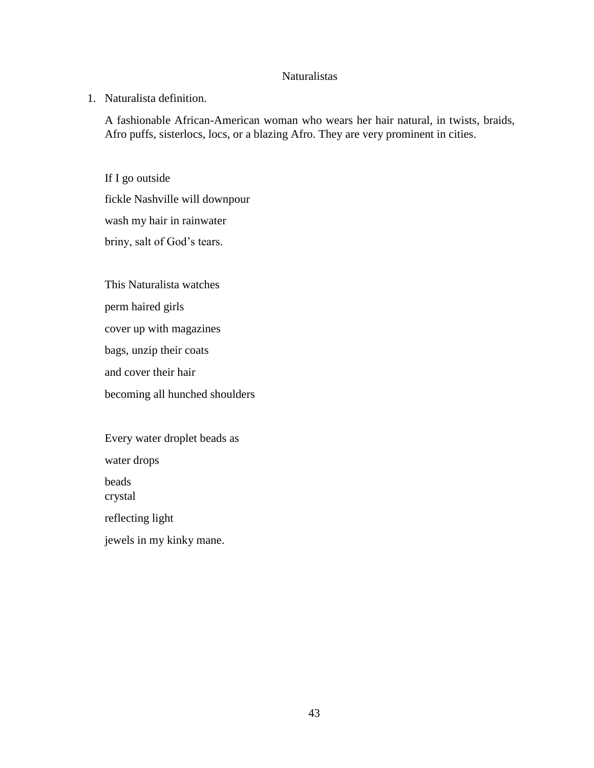## Naturalistas

1. Naturalista definition.

A fashionable African-American woman who wears her hair natural, in twists, braids, Afro puffs, sisterlocs, locs, or a blazing Afro. They are very prominent in cities.

If I go outside fickle Nashville will downpour wash my hair in rainwater briny, salt of God's tears.

This Naturalista watches

perm haired girls

cover up with magazines

bags, unzip their coats

and cover their hair

becoming all hunched shoulders

Every water droplet beads as water drops beads and the set of the set of the set of the set of the set of the set of the set of the set of the set of the set of the set of the set of the set of the set of the set of the set of the set of the set of the set of the crystal reflecting light jewels in my kinky mane.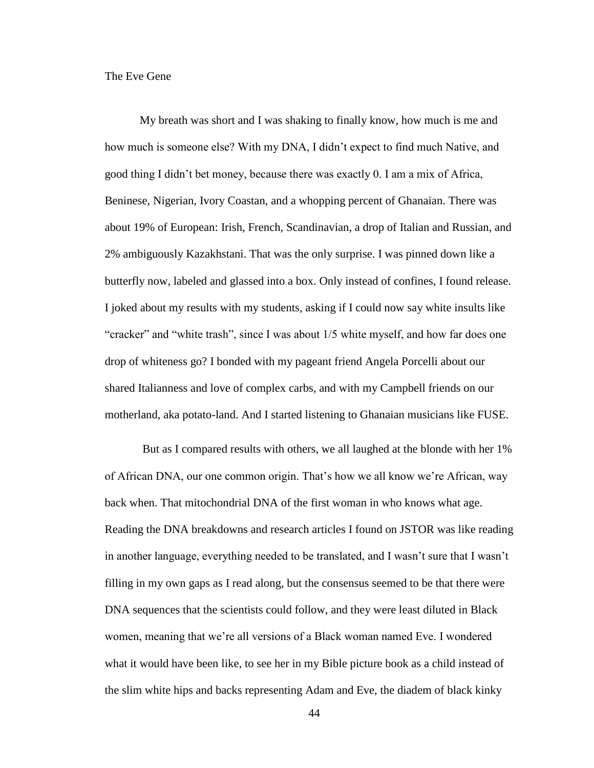### The Eve Gene

My breath was short and I was shaking to finally know, how much is me and how much is someone else? With my DNA, I didn't expect to find much Native, and good thing I didn't bet money, because there was exactly 0. I am a mix of Africa, Beninese, Nigerian, Ivory Coastan, and a whopping percent of Ghanaian. There was about 19% of European: Irish, French, Scandinavian, a drop of Italian and Russian, and 2% ambiguously Kazakhstani. That was the only surprise. I was pinned down like a butterfly now, labeled and glassed into a box. Only instead of confines, I found release. I joked about my results with my students, asking if I could now say white insults like "cracker" and "white trash", since I was about 1/5 white myself, and how far does one drop of whiteness go? I bonded with my pageant friend Angela Porcelli about our shared Italianness and love of complex carbs, and with my Campbell friends on our motherland, aka potato-land. And I started listening to Ghanaian musicians like FUSE.

 But as I compared results with others, we all laughed at the blonde with her 1% of African DNA, our one common origin. That's how we all know we're African, way back when. That mitochondrial DNA of the first woman in who knows what age. Reading the DNA breakdowns and research articles I found on JSTOR was like reading in another language, everything needed to be translated, and I wasn't sure that I wasn't filling in my own gaps as I read along, but the consensus seemed to be that there were DNA sequences that the scientists could follow, and they were least diluted in Black women, meaning that we're all versions of a Black woman named Eve. I wondered what it would have been like, to see her in my Bible picture book as a child instead of the slim white hips and backs representing Adam and Eve, the diadem of black kinky

44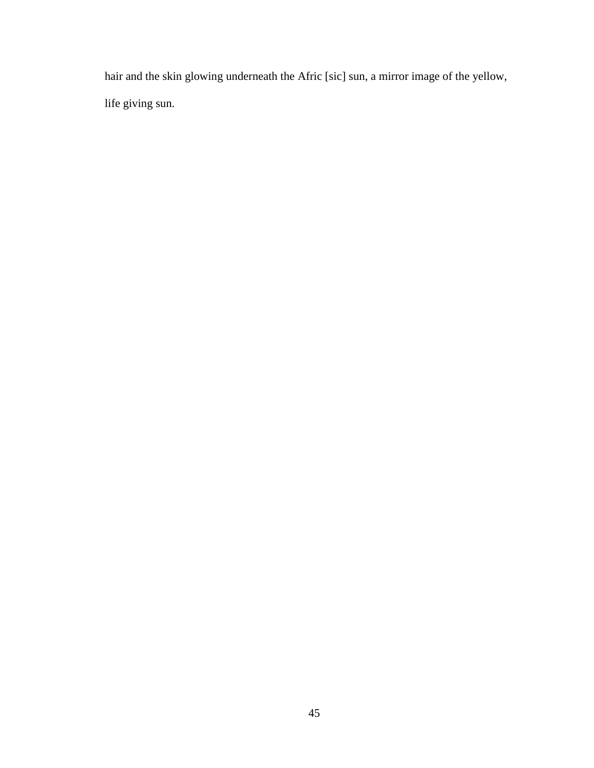hair and the skin glowing underneath the Afric [sic] sun, a mirror image of the yellow, life giving sun.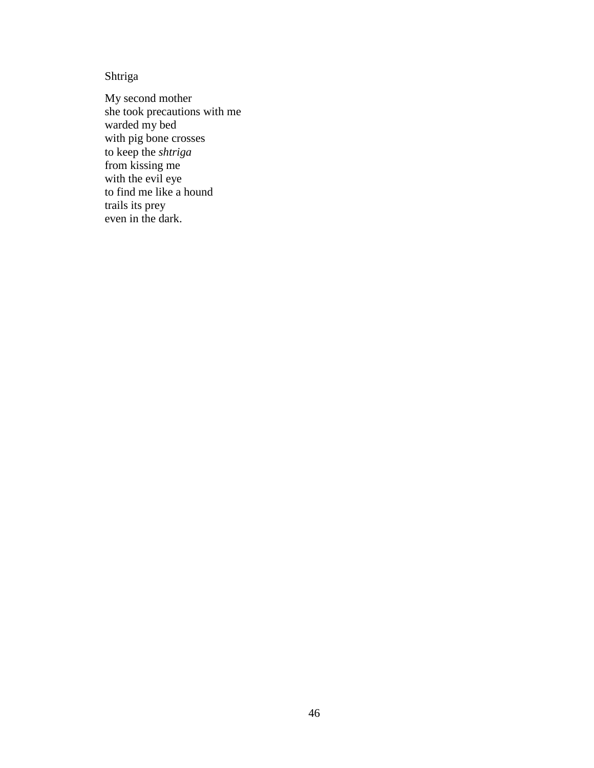Shtriga

My second mother she took precautions with me warded my bed with pig bone crosses to keep the *shtriga* from kissing me with the evil eye to find me like a hound trails its prey even in the dark.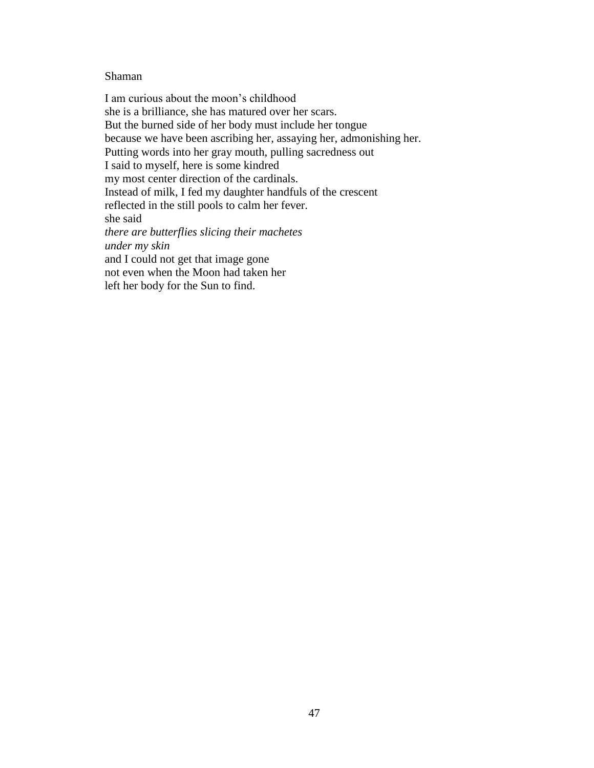### Shaman

I am curious about the moon's childhood she is a brilliance, she has matured over her scars. But the burned side of her body must include her tongue because we have been ascribing her, assaying her, admonishing her. Putting words into her gray mouth, pulling sacredness out I said to myself, here is some kindred my most center direction of the cardinals. Instead of milk, I fed my daughter handfuls of the crescent reflected in the still pools to calm her fever. she said *there are butterflies slicing their machetes under my skin* and I could not get that image gone not even when the Moon had taken her left her body for the Sun to find.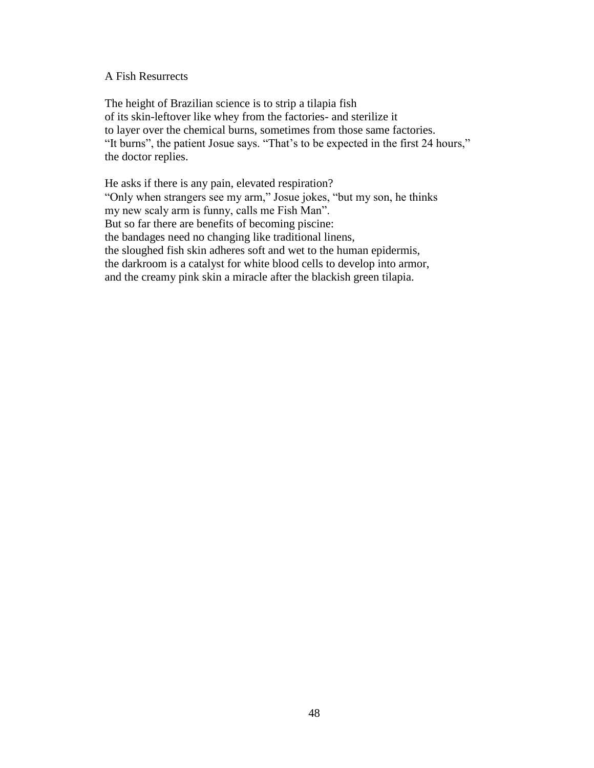### A Fish Resurrects

The height of Brazilian science is to strip a tilapia fish of its skin-leftover like whey from the factories- and sterilize it to layer over the chemical burns, sometimes from those same factories. "It burns", the patient Josue says. "That's to be expected in the first 24 hours," the doctor replies.

He asks if there is any pain, elevated respiration? "Only when strangers see my arm," Josue jokes, "but my son, he thinks my new scaly arm is funny, calls me Fish Man". But so far there are benefits of becoming piscine: the bandages need no changing like traditional linens, the sloughed fish skin adheres soft and wet to the human epidermis, the darkroom is a catalyst for white blood cells to develop into armor, and the creamy pink skin a miracle after the blackish green tilapia.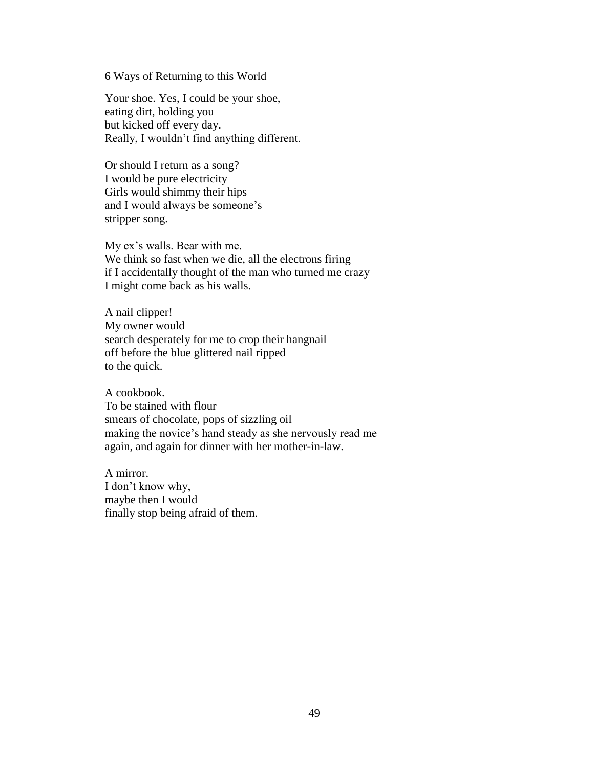6 Ways of Returning to this World

Your shoe. Yes, I could be your shoe, eating dirt, holding you but kicked off every day. Really, I wouldn't find anything different.

Or should I return as a song? I would be pure electricity Girls would shimmy their hips and I would always be someone's stripper song.

My ex's walls. Bear with me. We think so fast when we die, all the electrons firing if I accidentally thought of the man who turned me crazy I might come back as his walls.

A nail clipper! My owner would search desperately for me to crop their hangnail off before the blue glittered nail ripped to the quick.

A cookbook. To be stained with flour smears of chocolate, pops of sizzling oil making the novice's hand steady as she nervously read me again, and again for dinner with her mother-in-law.

A mirror. I don't know why, maybe then I would finally stop being afraid of them.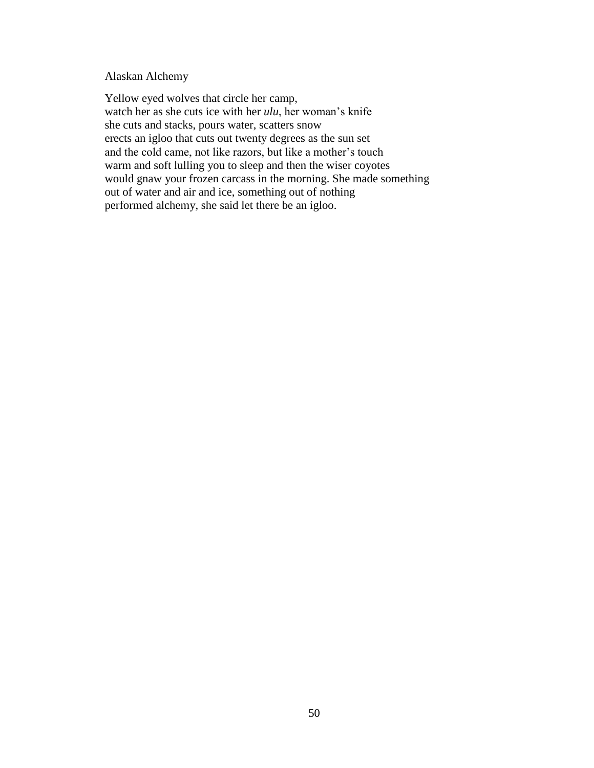### Alaskan Alchemy

Yellow eyed wolves that circle her camp, watch her as she cuts ice with her *ulu*, her woman's knife she cuts and stacks, pours water, scatters snow erects an igloo that cuts out twenty degrees as the sun set and the cold came, not like razors, but like a mother's touch warm and soft lulling you to sleep and then the wiser coyotes would gnaw your frozen carcass in the morning. She made something out of water and air and ice, something out of nothing performed alchemy, she said let there be an igloo.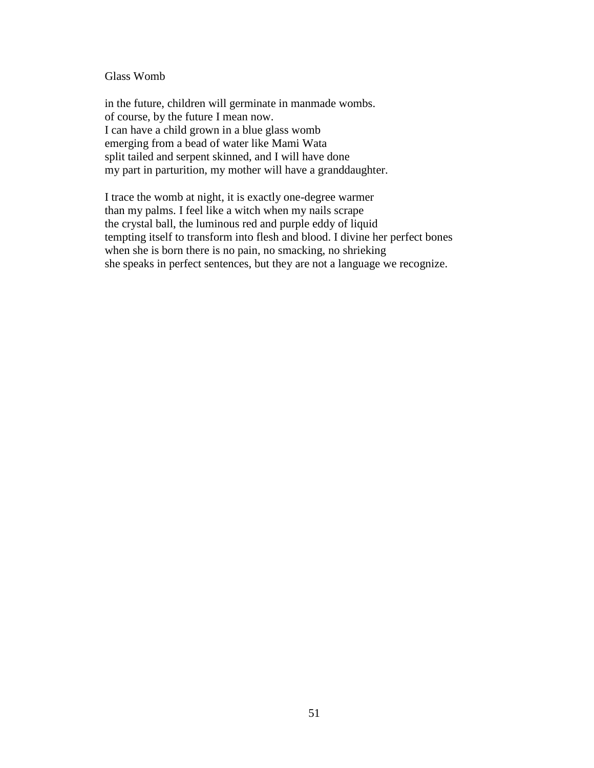### Glass Womb

in the future, children will germinate in manmade wombs. of course, by the future I mean now. I can have a child grown in a blue glass womb emerging from a bead of water like Mami Wata split tailed and serpent skinned, and I will have done my part in parturition, my mother will have a granddaughter.

I trace the womb at night, it is exactly one-degree warmer than my palms. I feel like a witch when my nails scrape the crystal ball, the luminous red and purple eddy of liquid tempting itself to transform into flesh and blood. I divine her perfect bones when she is born there is no pain, no smacking, no shrieking she speaks in perfect sentences, but they are not a language we recognize.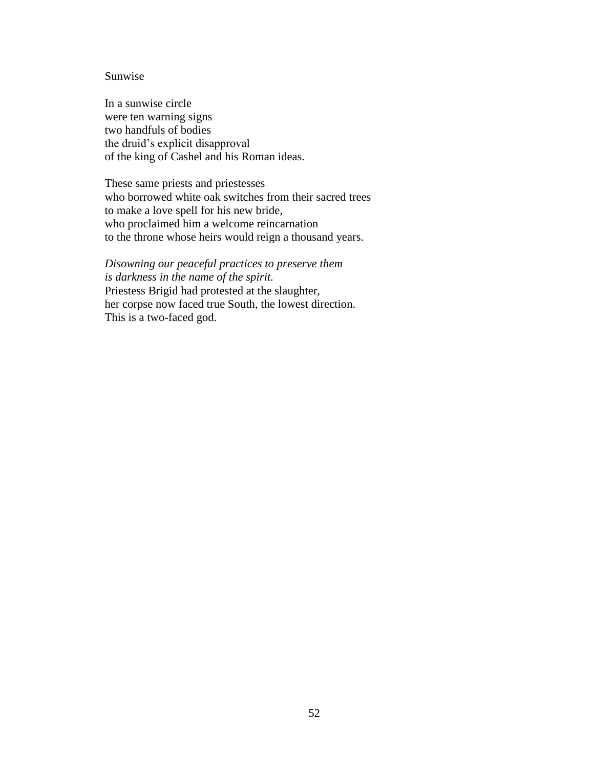#### Sunwise

In a sunwise circle were ten warning signs two handfuls of bodies the druid's explicit disapproval of the king of Cashel and his Roman ideas.

These same priests and priestesses who borrowed white oak switches from their sacred trees to make a love spell for his new bride, who proclaimed him a welcome reincarnation to the throne whose heirs would reign a thousand years.

*Disowning our peaceful practices to preserve them is darkness in the name of the spirit.* Priestess Brigid had protested at the slaughter, her corpse now faced true South, the lowest direction. This is a two-faced god.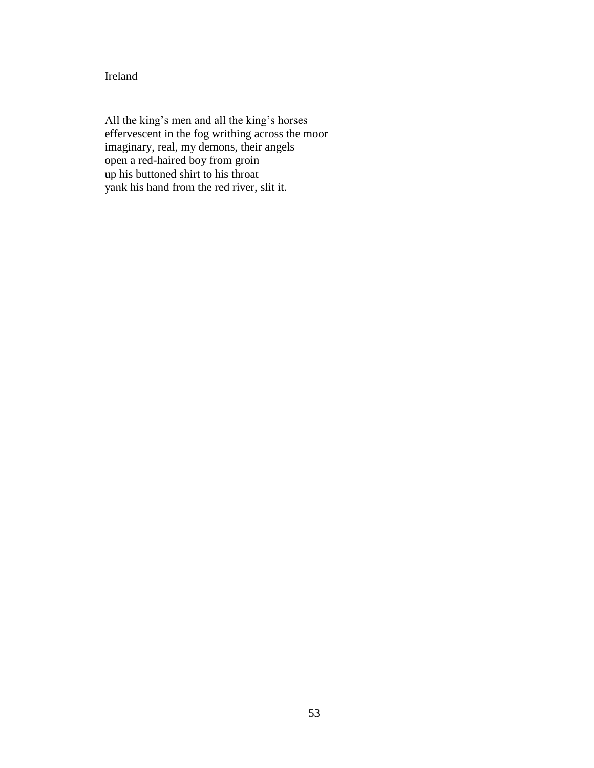Ireland

All the king's men and all the king's horses effervescent in the fog writhing across the moor imaginary, real, my demons, their angels open a red-haired boy from groin up his buttoned shirt to his throat yank his hand from the red river, slit it.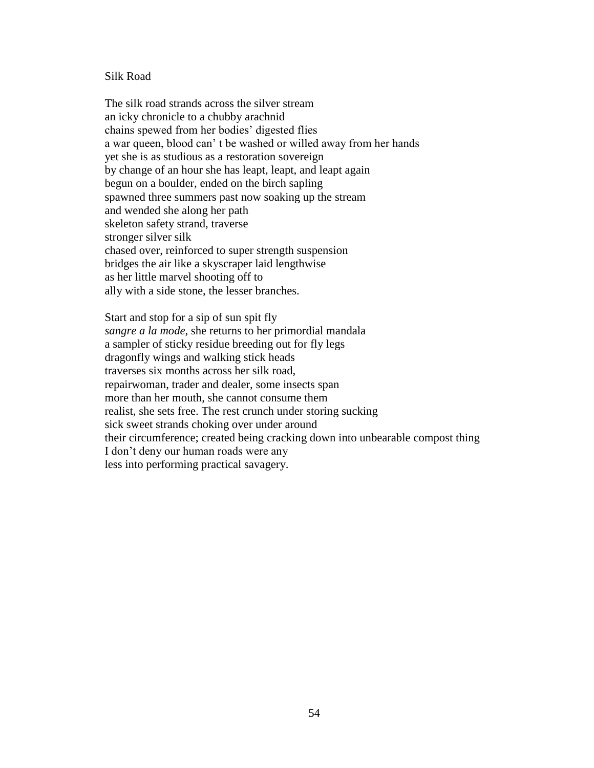#### Silk Road

The silk road strands across the silver stream an icky chronicle to a chubby arachnid chains spewed from her bodies' digested flies a war queen, blood can' t be washed or willed away from her hands yet she is as studious as a restoration sovereign by change of an hour she has leapt, leapt, and leapt again begun on a boulder, ended on the birch sapling spawned three summers past now soaking up the stream and wended she along her path skeleton safety strand, traverse stronger silver silk chased over, reinforced to super strength suspension bridges the air like a skyscraper laid lengthwise as her little marvel shooting off to ally with a side stone, the lesser branches.

Start and stop for a sip of sun spit fly *sangre a la mode*, she returns to her primordial mandala a sampler of sticky residue breeding out for fly legs dragonfly wings and walking stick heads traverses six months across her silk road, repairwoman, trader and dealer, some insects span more than her mouth, she cannot consume them realist, she sets free. The rest crunch under storing sucking sick sweet strands choking over under around their circumference; created being cracking down into unbearable compost thing I don't deny our human roads were any less into performing practical savagery.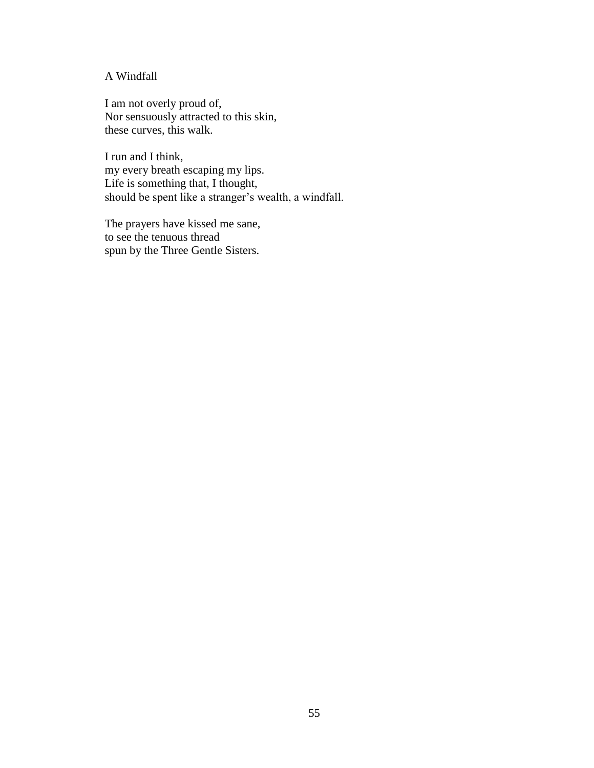## A Windfall

I am not overly proud of, Nor sensuously attracted to this skin, these curves, this walk.

I run and I think, my every breath escaping my lips. Life is something that, I thought, should be spent like a stranger's wealth, a windfall.

The prayers have kissed me sane, to see the tenuous thread spun by the Three Gentle Sisters.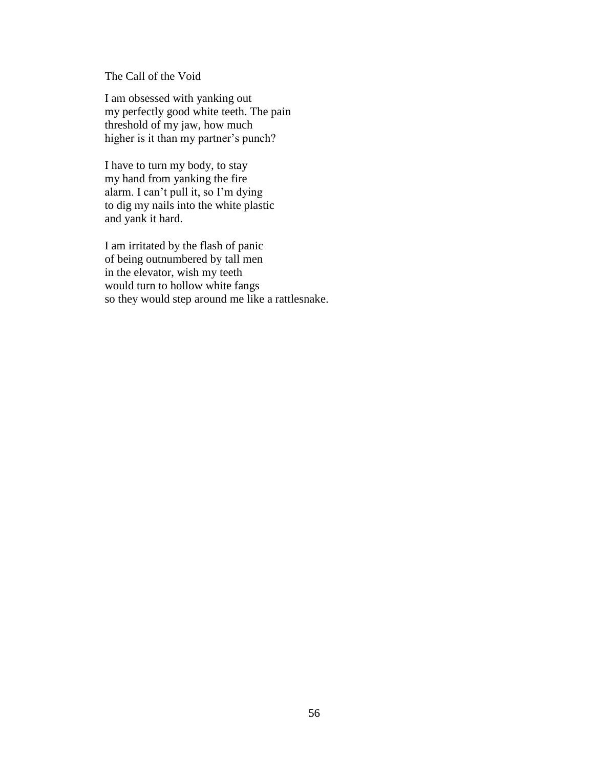The Call of the Void

I am obsessed with yanking out my perfectly good white teeth. The pain threshold of my jaw, how much higher is it than my partner's punch?

I have to turn my body, to stay my hand from yanking the fire alarm. I can't pull it, so I'm dying to dig my nails into the white plastic and yank it hard.

I am irritated by the flash of panic of being outnumbered by tall men in the elevator, wish my teeth would turn to hollow white fangs so they would step around me like a rattlesnake.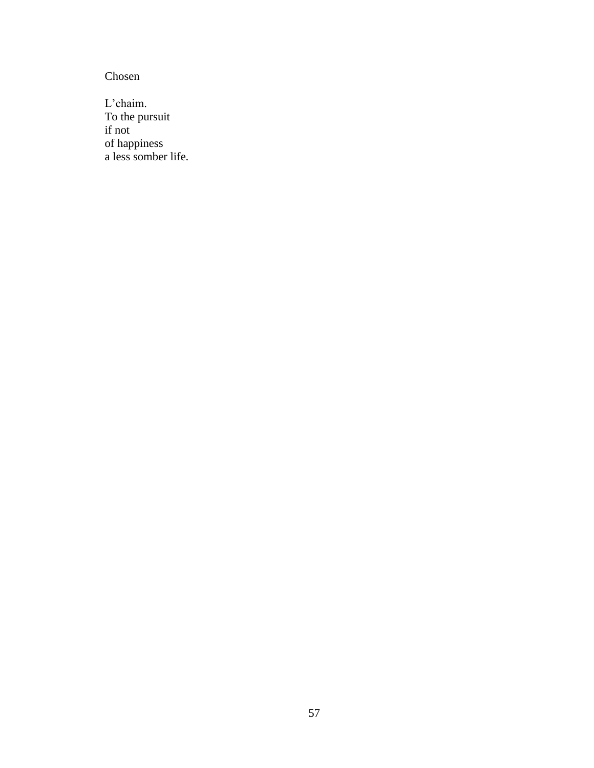Chosen

L'chaim. To the pursuit if not of happiness a less somber life.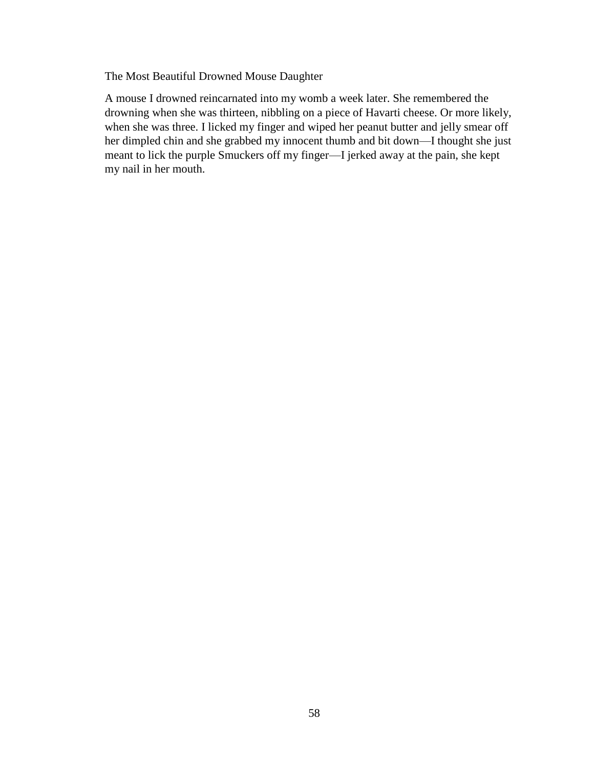The Most Beautiful Drowned Mouse Daughter

A mouse I drowned reincarnated into my womb a week later. She remembered the drowning when she was thirteen, nibbling on a piece of Havarti cheese. Or more likely, when she was three. I licked my finger and wiped her peanut butter and jelly smear off her dimpled chin and she grabbed my innocent thumb and bit down—I thought she just meant to lick the purple Smuckers off my finger—I jerked away at the pain, she kept my nail in her mouth.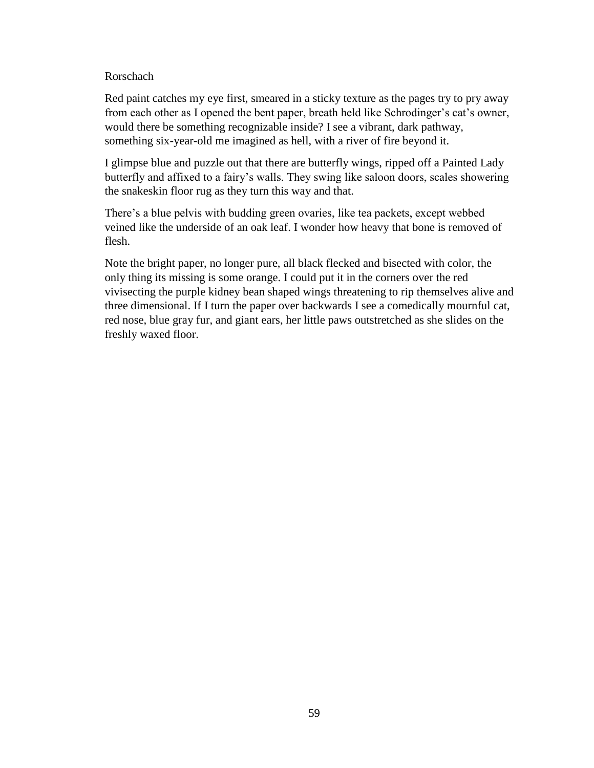### Rorschach

Red paint catches my eye first, smeared in a sticky texture as the pages try to pry away from each other as I opened the bent paper, breath held like Schrodinger's cat's owner, would there be something recognizable inside? I see a vibrant, dark pathway, something six-year-old me imagined as hell, with a river of fire beyond it.

I glimpse blue and puzzle out that there are butterfly wings, ripped off a Painted Lady butterfly and affixed to a fairy's walls. They swing like saloon doors, scales showering the snakeskin floor rug as they turn this way and that.

There's a blue pelvis with budding green ovaries, like tea packets, except webbed veined like the underside of an oak leaf. I wonder how heavy that bone is removed of flesh.

Note the bright paper, no longer pure, all black flecked and bisected with color, the only thing its missing is some orange. I could put it in the corners over the red vivisecting the purple kidney bean shaped wings threatening to rip themselves alive and three dimensional. If I turn the paper over backwards I see a comedically mournful cat, red nose, blue gray fur, and giant ears, her little paws outstretched as she slides on the freshly waxed floor.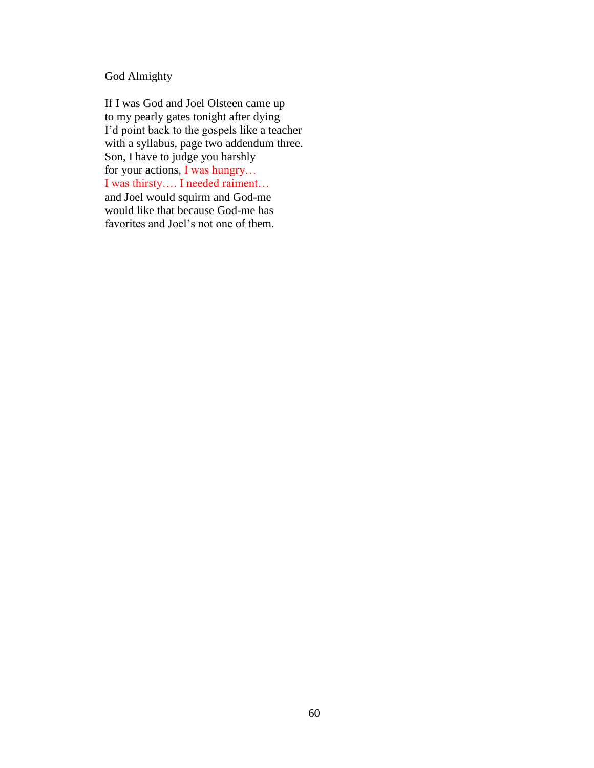# God Almighty

If I was God and Joel Olsteen came up to my pearly gates tonight after dying I'd point back to the gospels like a teacher with a syllabus, page two addendum three. Son, I have to judge you harshly for your actions, I was hungry… I was thirsty…. I needed raiment… and Joel would squirm and God-me would like that because God-me has favorites and Joel's not one of them.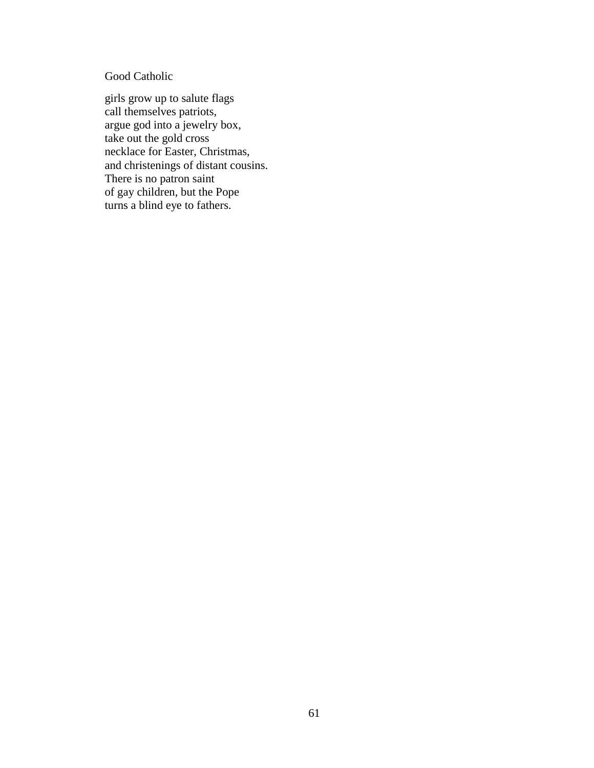## Good Catholic

girls grow up to salute flags call themselves patriots, argue god into a jewelry box, take out the gold cross necklace for Easter, Christmas, and christenings of distant cousins. There is no patron saint of gay children, but the Pope turns a blind eye to fathers.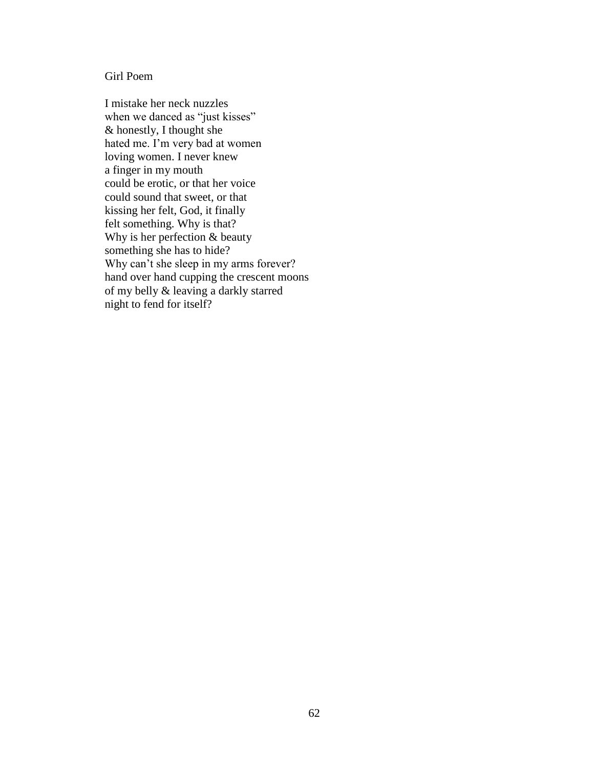### Girl Poem

I mistake her neck nuzzles when we danced as "just kisses" & honestly, I thought she hated me. I'm very bad at women loving women. I never knew a finger in my mouth could be erotic, or that her voice could sound that sweet, or that kissing her felt, God, it finally felt something. Why is that? Why is her perfection & beauty something she has to hide? Why can't she sleep in my arms forever? hand over hand cupping the crescent moons of my belly & leaving a darkly starred night to fend for itself?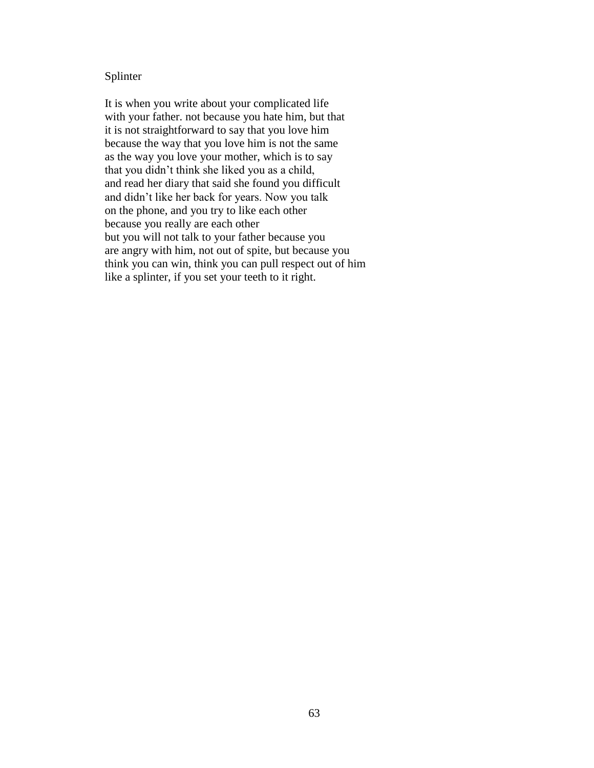### Splinter

It is when you write about your complicated life with your father. not because you hate him, but that it is not straightforward to say that you love him because the way that you love him is not the same as the way you love your mother, which is to say that you didn't think she liked you as a child, and read her diary that said she found you difficult and didn't like her back for years. Now you talk on the phone, and you try to like each other because you really are each other but you will not talk to your father because you are angry with him, not out of spite, but because you think you can win, think you can pull respect out of him like a splinter, if you set your teeth to it right.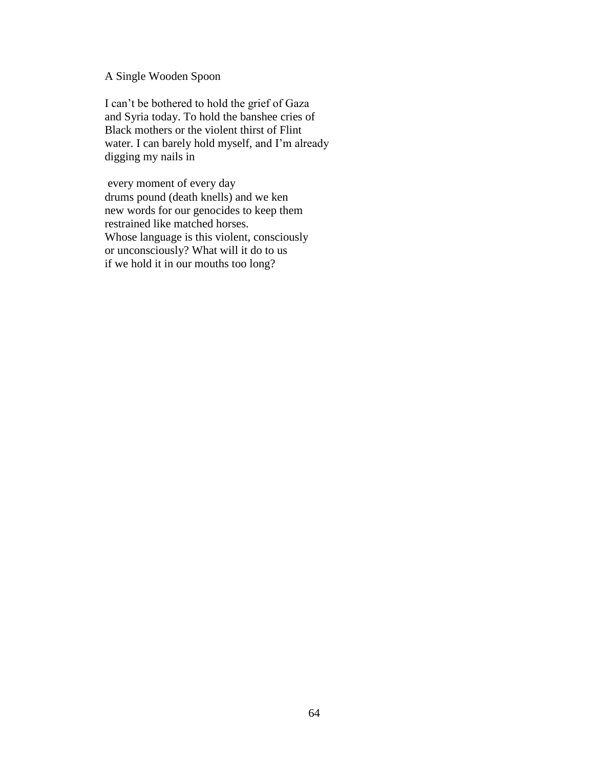## A Single Wooden Spoon

I can't be bothered to hold the grief of Gaza and Syria today. To hold the banshee cries of Black mothers or the violent thirst of Flint water. I can barely hold myself, and I'm already digging my nails in

every moment of every day drums pound (death knells) and we ken new words for our genocides to keep them restrained like matched horses. Whose language is this violent, consciously or unconsciously? What will it do to us if we hold it in our mouths too long?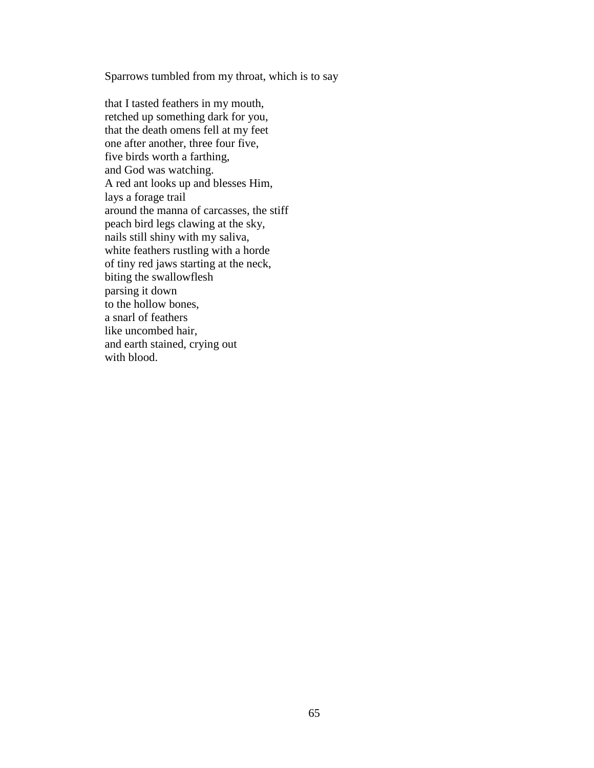Sparrows tumbled from my throat, which is to say

that I tasted feathers in my mouth, retched up something dark for you, that the death omens fell at my feet one after another, three four five, five birds worth a farthing, and God was watching. A red ant looks up and blesses Him, lays a forage trail around the manna of carcasses, the stiff peach bird legs clawing at the sky, nails still shiny with my saliva, white feathers rustling with a horde of tiny red jaws starting at the neck, biting the swallowflesh parsing it down to the hollow bones, a snarl of feathers like uncombed hair, and earth stained, crying out with blood.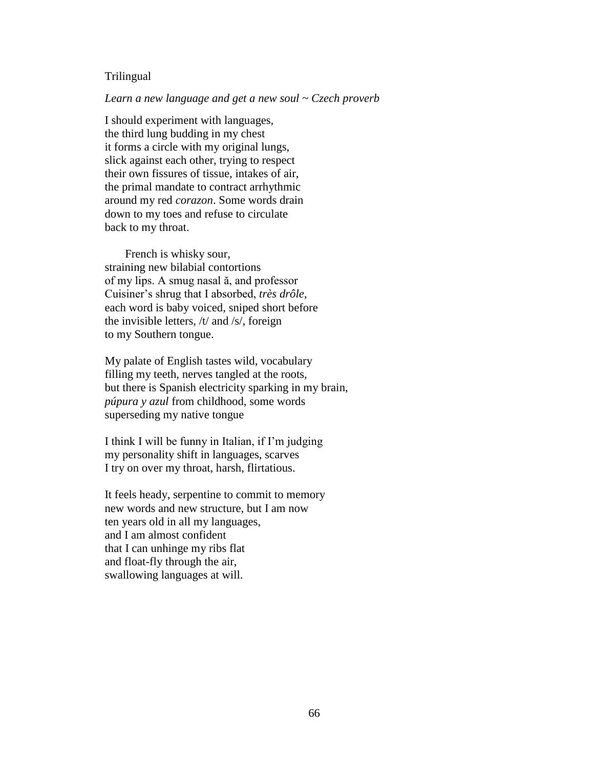#### **Trilingual**

#### *Learn a new language and get a new soul ~ Czech proverb*

I should experiment with languages, the third lung budding in my chest it forms a circle with my original lungs, slick against each other, trying to respect their own fissures of tissue, intakes of air, the primal mandate to contract arrhythmic around my red *corazon*. Some words drain down to my toes and refuse to circulate back to my throat.

 French is whisky sour, straining new bilabial contortions of my lips. A smug nasal ă, and professor Cuisiner's shrug that I absorbed, *très drôle,* each word is baby voiced, sniped short before the invisible letters, /t/ and /s/, foreign to my Southern tongue.

My palate of English tastes wild, vocabulary filling my teeth, nerves tangled at the roots, but there is Spanish electricity sparking in my brain, *púpura y azul* from childhood, some words superseding my native tongue

I think I will be funny in Italian, if I'm judging my personality shift in languages, scarves I try on over my throat, harsh, flirtatious.

It feels heady, serpentine to commit to memory new words and new structure, but I am now ten years old in all my languages, and I am almost confident that I can unhinge my ribs flat and float-fly through the air, swallowing languages at will.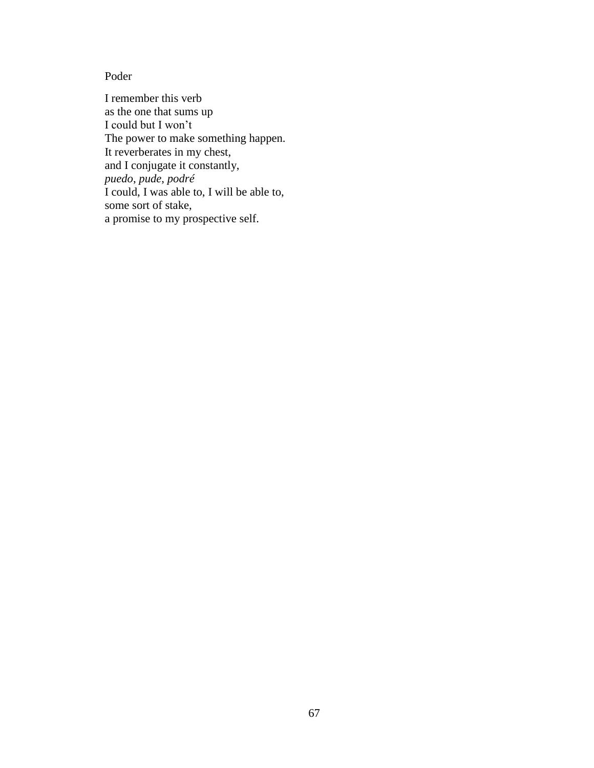# Poder

I remember this verb as the one that sums up I could but I won't The power to make something happen. It reverberates in my chest, and I conjugate it constantly, *puedo*, *pude*, *podré* I could, I was able to, I will be able to, some sort of stake, a promise to my prospective self.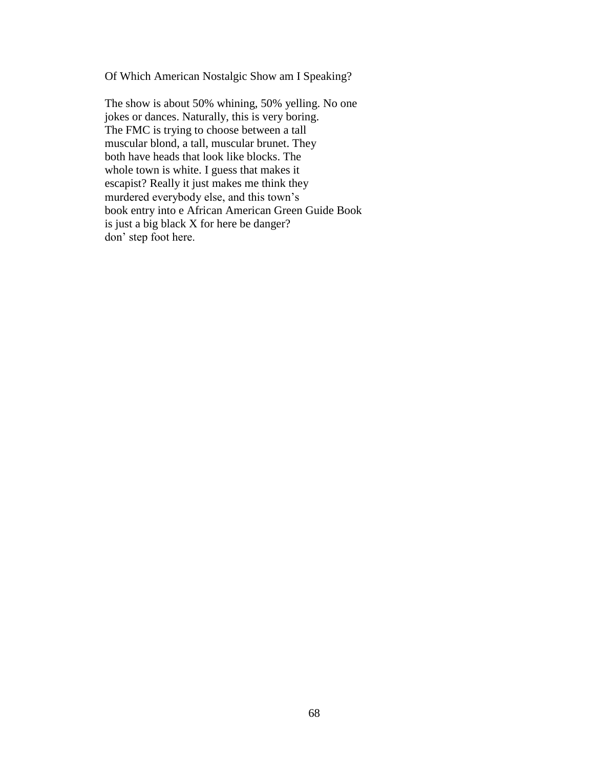Of Which American Nostalgic Show am I Speaking?

The show is about 50% whining, 50% yelling. No one jokes or dances. Naturally, this is very boring. The FMC is trying to choose between a tall muscular blond, a tall, muscular brunet. They both have heads that look like blocks. The whole town is white. I guess that makes it escapist? Really it just makes me think they murdered everybody else, and this town's book entry into e African American Green Guide Book is just a big black X for here be danger? don' step foot here.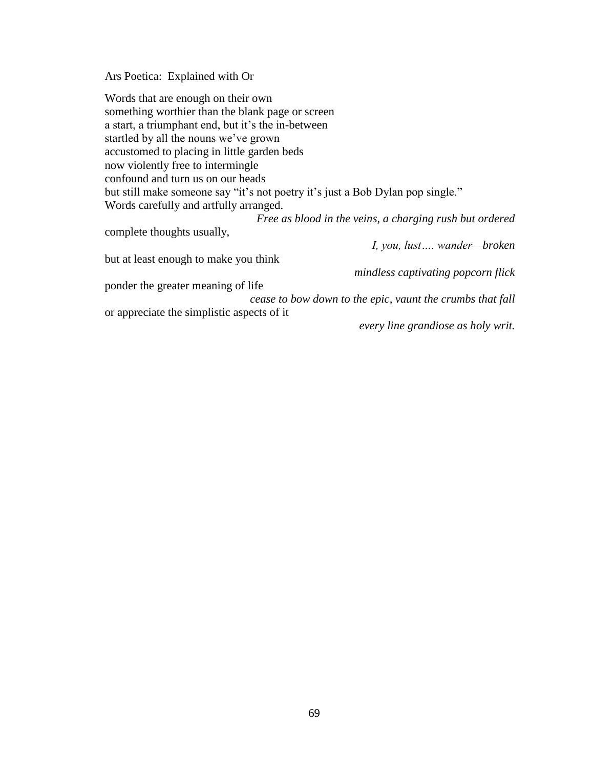Ars Poetica: Explained with Or

| Words that are enough on their own                                             |
|--------------------------------------------------------------------------------|
| something worthier than the blank page or screen                               |
| a start, a triumphant end, but it's the in-between                             |
| startled by all the nouns we've grown                                          |
| accustomed to placing in little garden beds                                    |
| now violently free to intermingle                                              |
| confound and turn us on our heads                                              |
| but still make someone say "it's not poetry it's just a Bob Dylan pop single." |
| Words carefully and artfully arranged.                                         |
| Free as blood in the veins, a charging rush but ordered                        |
| complete thoughts usually,                                                     |
| I, you, lust wander-broken                                                     |
| but at least enough to make you think                                          |
| mindless captivating popcorn flick                                             |
| ponder the greater meaning of life                                             |
| cease to bow down to the epic, vaunt the crumbs that fall                      |
| or appreciate the simplistic aspects of it                                     |
| every line grandiose as holy writ.                                             |
|                                                                                |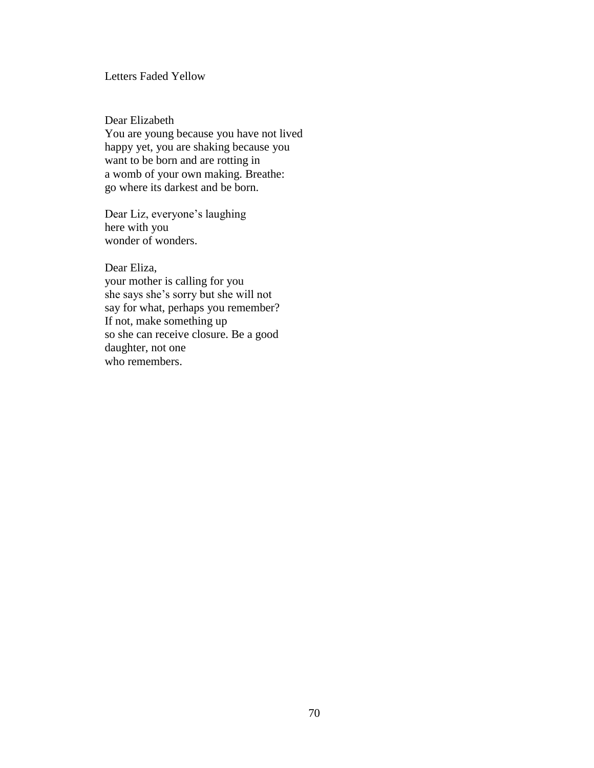## Letters Faded Yellow

Dear Elizabeth

You are young because you have not lived happy yet, you are shaking because you want to be born and are rotting in a womb of your own making. Breathe: go where its darkest and be born.

Dear Liz, everyone's laughing here with you wonder of wonders.

Dear Eliza,

your mother is calling for you she says she's sorry but she will not say for what, perhaps you remember? If not, make something up so she can receive closure. Be a good daughter, not one who remembers.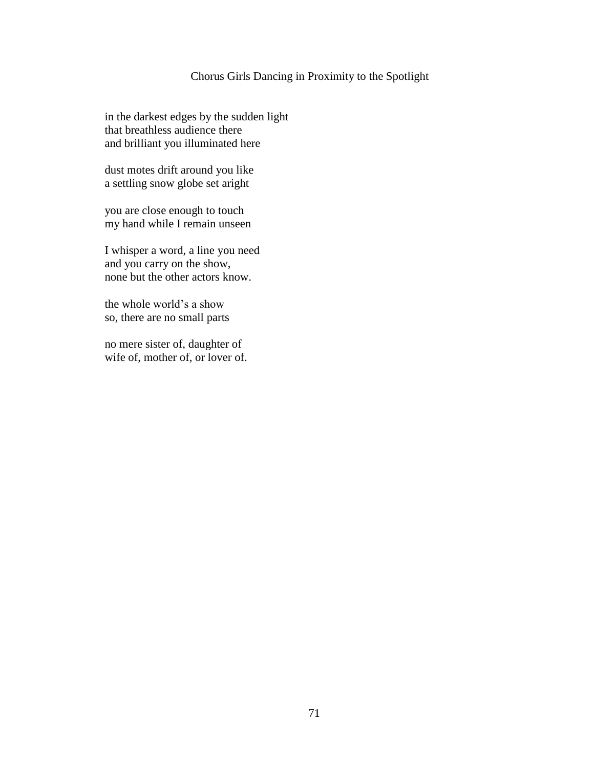## Chorus Girls Dancing in Proximity to the Spotlight

in the darkest edges by the sudden light that breathless audience there and brilliant you illuminated here

dust motes drift around you like a settling snow globe set aright

you are close enough to touch my hand while I remain unseen

I whisper a word, a line you need and you carry on the show, none but the other actors know.

the whole world's a show so, there are no small parts

no mere sister of, daughter of wife of, mother of, or lover of.